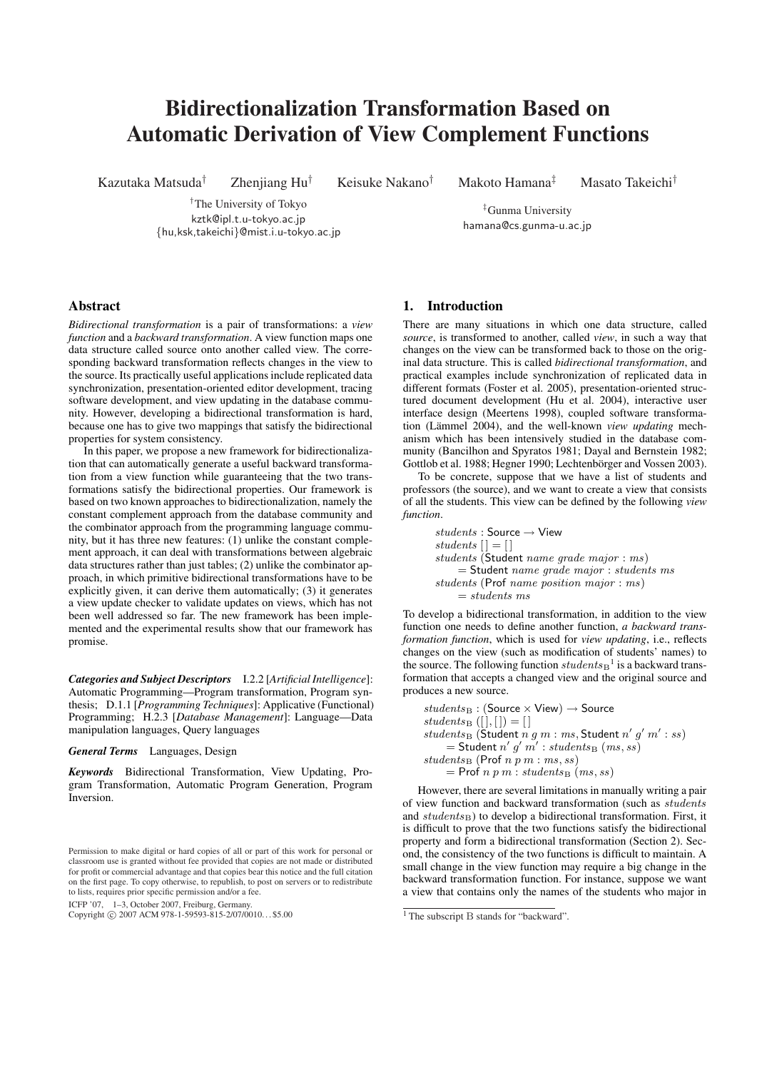# Bidirectionalization Transformation Based on Automatic Derivation of View Complement Functions

Kazutaka Matsuda*†* Zhenjiang Hu*†* Keisuke Nakano*†* Makoto Hamana*‡* Masato Takeichi*†*

*†*The University of Tokyo kztk@ipl.t.u-tokyo.ac.jp *{*hu,ksk,takeichi*}*@mist.i.u-tokyo.ac.jp

*‡*Gunma University hamana@cs.gunma-u.ac.jp

## Abstract

*Bidirectional transformation* is a pair of transformations: a *view function* and a *backward transformation*. A view function maps one data structure called source onto another called view. The corresponding backward transformation reflects changes in the view to the source. Its practically useful applications include replicated data synchronization, presentation-oriented editor development, tracing software development, and view updating in the database community. However, developing a bidirectional transformation is hard, because one has to give two mappings that satisfy the bidirectional properties for system consistency.

In this paper, we propose a new framework for bidirectionalization that can automatically generate a useful backward transformation from a view function while guaranteeing that the two transformations satisfy the bidirectional properties. Our framework is based on two known approaches to bidirectionalization, namely the constant complement approach from the database community and the combinator approach from the programming language community, but it has three new features: (1) unlike the constant complement approach, it can deal with transformations between algebraic data structures rather than just tables; (2) unlike the combinator approach, in which primitive bidirectional transformations have to be explicitly given, it can derive them automatically; (3) it generates a view update checker to validate updates on views, which has not been well addressed so far. The new framework has been implemented and the experimental results show that our framework has promise.

*Categories and Subject Descriptors* I.2.2 [*Artificial Intelligence*]: Automatic Programming—Program transformation, Program synthesis; D.1.1 [*Programming Techniques*]: Applicative (Functional) Programming; H.2.3 [*Database Management*]: Language—Data manipulation languages, Query languages

#### *General Terms* Languages, Design

*Keywords* Bidirectional Transformation, View Updating, Program Transformation, Automatic Program Generation, Program Inversion.

#### 1. Introduction

There are many situations in which one data structure, called *source*, is transformed to another, called *view*, in such a way that changes on the view can be transformed back to those on the original data structure. This is called *bidirectional transformation*, and practical examples include synchronization of replicated data in different formats (Foster et al. 2005), presentation-oriented structured document development (Hu et al. 2004), interactive user interface design (Meertens 1998), coupled software transformation (Lämmel 2004), and the well-known view updating mechanism which has been intensively studied in the database community (Bancilhon and Spyratos 1981; Dayal and Bernstein 1982; Gottlob et al. 1988; Hegner 1990; Lechtenbörger and Vossen 2003).

To be concrete, suppose that we have a list of students and professors (the source), and we want to create a view that consists of all the students. This view can be defined by the following *view function*.

> *students* : Source *→* View *students*  $| \cdot | = |$ *students* (Student *name grade major* : *ms*) = Student *name grade major* : *students ms students* (Prof *name position major* : *ms*) = *students ms*

To develop a bidirectional transformation, in addition to the view function one needs to define another function, *a backward transformation function*, which is used for *view updating*, i.e., reflects changes on the view (such as modification of students' names) to the source. The following function  $students_B^1$  is a backward transformation that accepts a changed view and the original source and produces a new source.

*students*<sup>B</sup> : (Source *×* View) *→* Source *students*<sub>B</sub> ([], []) = [] *students*<sup>B</sup> (Student *n g m* : *ms,* Student *n 0 g <sup>0</sup> m<sup>0</sup>* : *ss*)  $=$  Student  $n'$   $g'$   $m'$  :  $students_{\text{B}}$   $(ms,ss)$  $students_{\text{B}}$  (Prof  $n \, p \, m : ms, ss$ )  $=$  Prof *n p m : students*<sub>B</sub> (*ms, ss*)

However, there are several limitations in manually writing a pair of view function and backward transformation (such as *students* and *students*<sub>B</sub>) to develop a bidirectional transformation. First, it is difficult to prove that the two functions satisfy the bidirectional property and form a bidirectional transformation (Section 2). Second, the consistency of the two functions is difficult to maintain. A small change in the view function may require a big change in the backward transformation function. For instance, suppose we want a view that contains only the names of the students who major in

Permission to make digital or hard copies of all or part of this work for personal or classroom use is granted without fee provided that copies are not made or distributed for profit or commercial advantage and that copies bear this notice and the full citation on the first page. To copy otherwise, to republish, to post on servers or to redistribute to lists, requires prior specific permission and/or a fee.

ICFP '07, 1–3, October 2007, Freiburg, Germany.<br>Copyright *©* 2007 ACM 978-1-59593-815-2/07/0010...\$5.00

 $\frac{1}{1}$ The subscript B stands for "backward".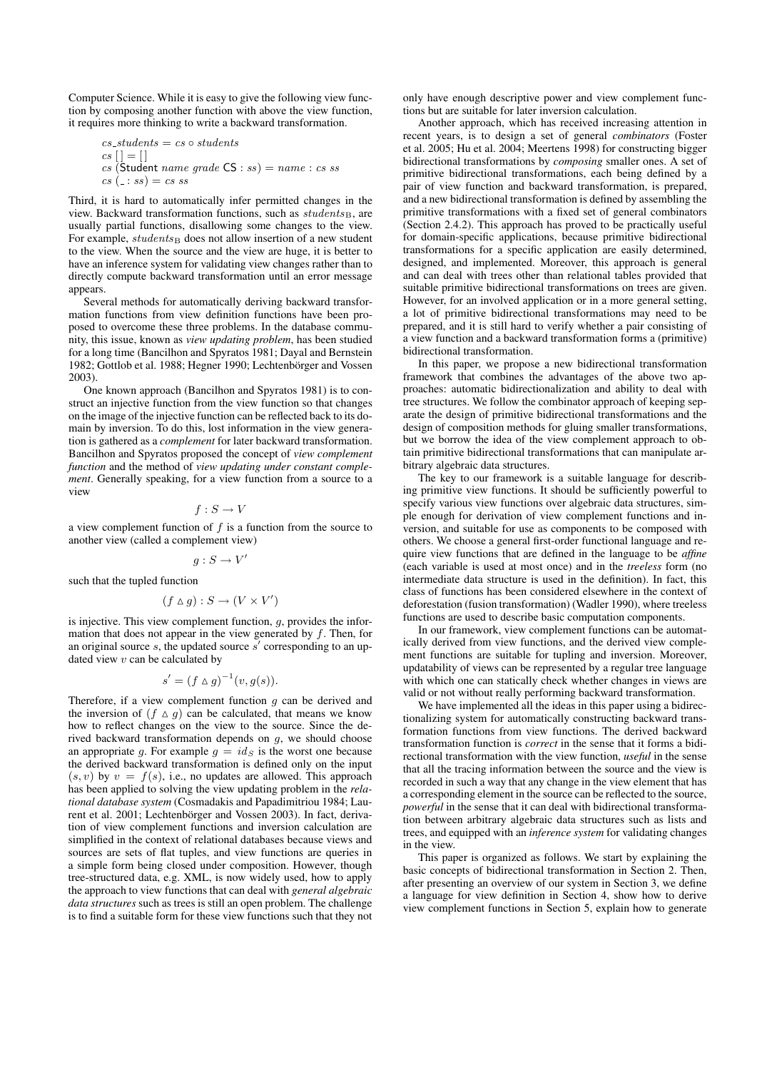Computer Science. While it is easy to give the following view function by composing another function with above the view function, it requires more thinking to write a backward transformation.

$$
cs\_students = cs \circ students
$$
  
\n
$$
cs [] = []
$$
  
\n
$$
cs (Student name grade CS : ss) = name : cs ss
$$
  
\n
$$
cs (- : ss) = cs ss
$$

Third, it is hard to automatically infer permitted changes in the view. Backward transformation functions, such as *students*<sub>B</sub>, are usually partial functions, disallowing some changes to the view. For example, *students*<sub>B</sub> does not allow insertion of a new student to the view. When the source and the view are huge, it is better to have an inference system for validating view changes rather than to directly compute backward transformation until an error message appears.

Several methods for automatically deriving backward transformation functions from view definition functions have been proposed to overcome these three problems. In the database community, this issue, known as *view updating problem*, has been studied for a long time (Bancilhon and Spyratos 1981; Dayal and Bernstein 1982; Gottlob et al. 1988; Hegner 1990; Lechtenbörger and Vossen 2003).

One known approach (Bancilhon and Spyratos 1981) is to construct an injective function from the view function so that changes on the image of the injective function can be reflected back to its domain by inversion. To do this, lost information in the view generation is gathered as a *complement* for later backward transformation. Bancilhon and Spyratos proposed the concept of *view complement function* and the method of *view updating under constant complement*. Generally speaking, for a view function from a source to a view

#### $f: S \rightarrow V$

a view complement function of *f* is a function from the source to another view (called a complement view)

$$
g: S \to V
$$

*0*

such that the tupled function

$$
(f \triangle g) : S \to (V \times V')
$$

is injective. This view complement function, *g*, provides the information that does not appear in the view generated by *f*. Then, for an original source  $s$ , the updated source  $s'$  corresponding to an updated view *v* can be calculated by

$$
s' = (f \triangle g)^{-1}(v, g(s)).
$$

Therefore, if a view complement function *g* can be derived and the inversion of  $(f \triangle g)$  can be calculated, that means we know how to reflect changes on the view to the source. Since the derived backward transformation depends on *g*, we should choose an appropriate g. For example  $g = id_S$  is the worst one because the derived backward transformation is defined only on the input  $(s, v)$  by  $v = f(s)$ , i.e., no updates are allowed. This approach has been applied to solving the view updating problem in the *relational database system* (Cosmadakis and Papadimitriou 1984; Laurent et al. 2001; Lechtenbörger and Vossen 2003). In fact, derivation of view complement functions and inversion calculation are simplified in the context of relational databases because views and sources are sets of flat tuples, and view functions are queries in a simple form being closed under composition. However, though tree-structured data, e.g. XML, is now widely used, how to apply the approach to view functions that can deal with *general algebraic data structures* such as trees is still an open problem. The challenge is to find a suitable form for these view functions such that they not

only have enough descriptive power and view complement functions but are suitable for later inversion calculation.

Another approach, which has received increasing attention in recent years, is to design a set of general *combinators* (Foster et al. 2005; Hu et al. 2004; Meertens 1998) for constructing bigger bidirectional transformations by *composing* smaller ones. A set of primitive bidirectional transformations, each being defined by a pair of view function and backward transformation, is prepared, and a new bidirectional transformation is defined by assembling the primitive transformations with a fixed set of general combinators (Section 2.4.2). This approach has proved to be practically useful for domain-specific applications, because primitive bidirectional transformations for a specific application are easily determined, designed, and implemented. Moreover, this approach is general and can deal with trees other than relational tables provided that suitable primitive bidirectional transformations on trees are given. However, for an involved application or in a more general setting, a lot of primitive bidirectional transformations may need to be prepared, and it is still hard to verify whether a pair consisting of a view function and a backward transformation forms a (primitive) bidirectional transformation.

In this paper, we propose a new bidirectional transformation framework that combines the advantages of the above two approaches: automatic bidirectionalization and ability to deal with tree structures. We follow the combinator approach of keeping separate the design of primitive bidirectional transformations and the design of composition methods for gluing smaller transformations, but we borrow the idea of the view complement approach to obtain primitive bidirectional transformations that can manipulate arbitrary algebraic data structures.

The key to our framework is a suitable language for describing primitive view functions. It should be sufficiently powerful to specify various view functions over algebraic data structures, simple enough for derivation of view complement functions and inversion, and suitable for use as components to be composed with others. We choose a general first-order functional language and require view functions that are defined in the language to be *affine* (each variable is used at most once) and in the *treeless* form (no intermediate data structure is used in the definition). In fact, this class of functions has been considered elsewhere in the context of deforestation (fusion transformation) (Wadler 1990), where treeless functions are used to describe basic computation components.

In our framework, view complement functions can be automatically derived from view functions, and the derived view complement functions are suitable for tupling and inversion. Moreover, updatability of views can be represented by a regular tree language with which one can statically check whether changes in views are valid or not without really performing backward transformation.

We have implemented all the ideas in this paper using a bidirectionalizing system for automatically constructing backward transformation functions from view functions. The derived backward transformation function is *correct* in the sense that it forms a bidirectional transformation with the view function, *useful* in the sense that all the tracing information between the source and the view is recorded in such a way that any change in the view element that has a corresponding element in the source can be reflected to the source, *powerful* in the sense that it can deal with bidirectional transformation between arbitrary algebraic data structures such as lists and trees, and equipped with an *inference system* for validating changes in the view.

This paper is organized as follows. We start by explaining the basic concepts of bidirectional transformation in Section 2. Then, after presenting an overview of our system in Section 3, we define a language for view definition in Section 4, show how to derive view complement functions in Section 5, explain how to generate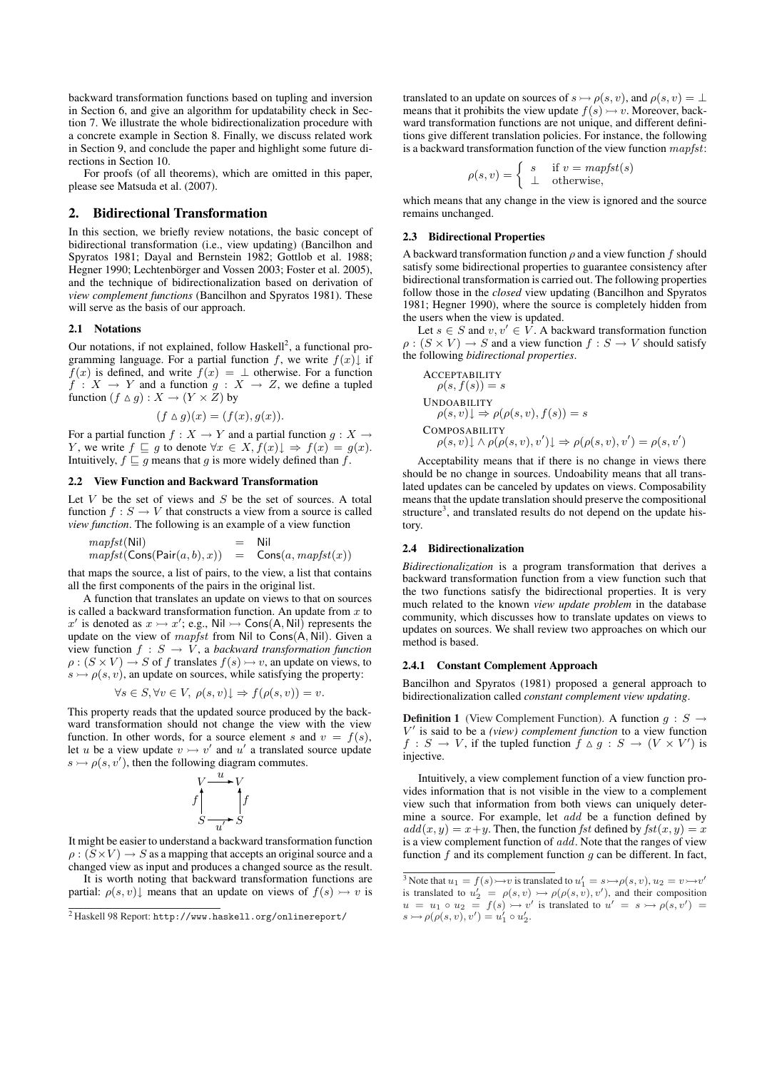backward transformation functions based on tupling and inversion in Section 6, and give an algorithm for updatability check in Section 7. We illustrate the whole bidirectionalization procedure with a concrete example in Section 8. Finally, we discuss related work in Section 9, and conclude the paper and highlight some future directions in Section 10.

For proofs (of all theorems), which are omitted in this paper, please see Matsuda et al. (2007).

## 2. Bidirectional Transformation

In this section, we briefly review notations, the basic concept of bidirectional transformation (i.e., view updating) (Bancilhon and Spyratos 1981; Dayal and Bernstein 1982; Gottlob et al. 1988; Hegner 1990; Lechtenbörger and Vossen 2003; Foster et al. 2005), and the technique of bidirectionalization based on derivation of *view complement functions* (Bancilhon and Spyratos 1981). These will serve as the basis of our approach.

#### 2.1 Notations

Our notations, if not explained, follow Haskell<sup>2</sup>, a functional programming language. For a partial function *f*, we write  $f(x)$  if  $f(x)$  is defined, and write  $\hat{f}(x) = \perp$  otherwise. For a function  $f: X \to Y$  and a function  $g: X \to Z$ , we define a tupled function  $(f \triangle g) : X \longrightarrow (Y \times Z)$  by

$$
(f \triangle g)(x) = (f(x), g(x)).
$$

For a partial function  $f: X \to Y$  and a partial function  $g: X \to Y$ *Y*, we write  $f \subseteq g$  to denote  $\forall x \in X, f(x) \downarrow \Rightarrow f(x) = g(x)$ . Intuitively,  $f \sqsubseteq g$  means that *g* is more widely defined than *f*.

#### 2.2 View Function and Backward Transformation

Let *V* be the set of views and *S* be the set of sources. A total function  $f : S \to V$  that constructs a view from a source is called *view function*. The following is an example of a view function

 $mapfst(Nil)$  = Nil  $mapfst(Cons(Pair(a, b), x)) = Cons(a, mapfst(x))$ 

that maps the source, a list of pairs, to the view, a list that contains all the first components of the pairs in the original list.

A function that translates an update on views to that on sources is called a backward transformation function. An update from *x* to  $x'$  is denoted as  $x \rightarrow x'$ ; e.g., Nil  $\rightarrow$  Cons(A, Nil) represents the update on the view of *mapfst* from Nil to Cons(A*,* Nil). Given a view function  $f : S \to V$ , a *backward transformation function*  $\rho$  :  $(S \times V) \rightarrow S$  of *f* translates  $f(s) \rightarrow v$ , an update on views, to  $s \rightarrow \rho(s, v)$ , an update on sources, while satisfying the property:

$$
\forall s \in S, \forall v \in V, \ \rho(s, v) \downarrow \Rightarrow f(\rho(s, v)) = v.
$$

This property reads that the updated source produced by the backward transformation should not change the view with the view function. In other words, for a source element *s* and  $v = f(s)$ , let *u* be a view update  $v \rightarrow v'$  and  $u'$  a translated source update  $s \mapsto \rho(s, v')$ , then the following diagram commutes.

$$
\begin{array}{c}\nV \xrightarrow{u} V \\
f \downarrow f \\
S \xrightarrow{u'} S\n\end{array}
$$

It might be easier to understand a backward transformation function  $\rho$  :  $(S \times V) \rightarrow S$  as a mapping that accepts an original source and a changed view as input and produces a changed source as the result.

It is worth noting that backward transformation functions are partial:  $\rho(s, v)$  | means that an update on views of  $f(s) \rightarrow v$  is

translated to an update on sources of *s*  $\rightarrow$  *ρ*(*s, v*), and *ρ*(*s, v*) =  $\perp$ means that it prohibits the view update  $f(s) \rightarrow v$ . Moreover, backward transformation functions are not unique, and different definitions give different translation policies. For instance, the following is a backward transformation function of the view function *mapfst*:

$$
\rho(s, v) = \begin{cases} s & \text{if } v = map(st(s) \\ \perp & \text{otherwise,} \end{cases}
$$

which means that any change in the view is ignored and the source remains unchanged.

#### 2.3 Bidirectional Properties

A backward transformation function *ρ* and a view function *f* should satisfy some bidirectional properties to guarantee consistency after bidirectional transformation is carried out. The following properties follow those in the *closed* view updating (Bancilhon and Spyratos 1981; Hegner 1990), where the source is completely hidden from the users when the view is updated.

Let  $s \in S$  and  $v, v' \in V$ . A backward transformation function  $\rho$  :  $(S \times V) \rightarrow S$  and a view function  $f : S \rightarrow V$  should satisfy the following *bidirectional properties*.

ACCEPTABILITY  
\n
$$
\rho(s, f(s)) = s
$$
\nUNDOABILITY  
\n
$$
\rho(s, v) \downarrow \Rightarrow \rho(\rho(s, v), f(s)) = s
$$
\nCOMPOSABILITY  
\n
$$
\rho(s, v) \downarrow \land \rho(\rho(s, v), v') \downarrow \Rightarrow \rho(\rho(s, v), v') = \rho(s, v')
$$

Acceptability means that if there is no change in views there should be no change in sources. Undoability means that all translated updates can be canceled by updates on views. Composability means that the update translation should preserve the compositional structure<sup>3</sup>, and translated results do not depend on the update history.

#### 2.4 Bidirectionalization

*Bidirectionalization* is a program transformation that derives a backward transformation function from a view function such that the two functions satisfy the bidirectional properties. It is very much related to the known *view update problem* in the database community, which discusses how to translate updates on views to updates on sources. We shall review two approaches on which our method is based.

#### 2.4.1 Constant Complement Approach

Bancilhon and Spyratos (1981) proposed a general approach to bidirectionalization called *constant complement view updating*.

**Definition 1** (View Complement Function). A function  $g : S \rightarrow$  $V'$  is said to be a *(view) complement function* to a view function *f* : *S*  $\rightarrow$  *V*, if the tupled function  $\hat{f} \triangle g$  :  $S \rightarrow (V \times V')$  is injective.

Intuitively, a view complement function of a view function provides information that is not visible in the view to a complement view such that information from both views can uniquely determine a source. For example, let *add* be a function defined by  $add(x, y) = x + y$ . Then, the function *fst* defined by  $fst(x, y) = x$ is a view complement function of *add*. Note that the ranges of view function *f* and its complement function *g* can be different. In fact,

<sup>2</sup> Haskell 98 Report: http://www.haskell.org/onlinereport/

<sup>&</sup>lt;sup>3</sup> Note that  $u_1 = f(s) \rightarrow v$  is translated to  $u'_1 = s \rightarrow \rho(s, v), u_2 = v \rightarrow v'$ is translated to  $u'_2 = \rho(s, v) \rightarrow \rho(\rho(s, v), v')$ , and their composition  $u = u_1 \circ u_2 = f(s) \rightarrow v'$  is translated to  $u' = s \rightarrow \rho(s, v') = s \rightarrow \rho(\rho(s, v), v') = u'_1 \circ u'_2$ .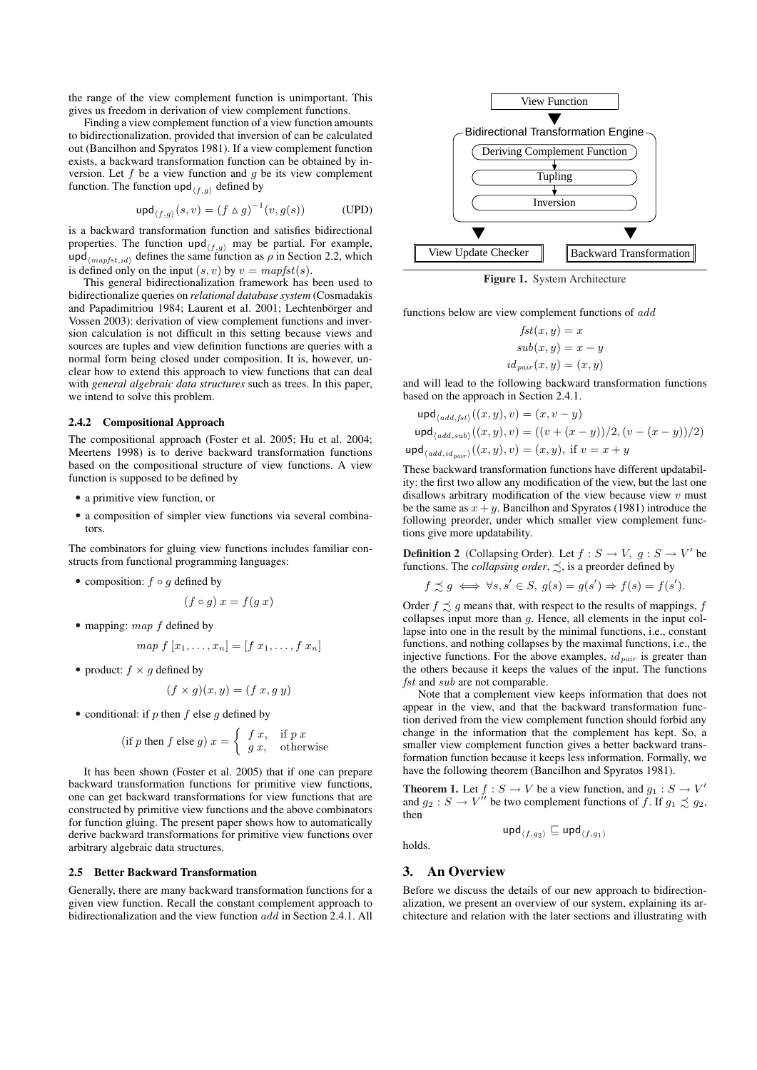the range of the view complement function is unimportant. This gives us freedom in derivation of view complement functions.

Finding a view complement function of a view function amounts to bidirectionalization, provided that inversion of can be calculated out (Bancilhon and Spyratos 1981). If a view complement function exists, a backward transformation function can be obtained by inversion. Let *f* be a view function and *g* be its view complement function. The function  $\text{upd}_{\langle f,g \rangle}$  defined by

$$
\mathsf{upd}_{\langle f,g \rangle}(s,v) = (f \triangle g)^{-1}(v,g(s)) \tag{UPD}
$$

is a backward transformation function and satisfies bidirectional properties. The function  $\text{upd}_{(f,q)}$  may be partial. For example, upd<sub> $\langle mapfst, id \rangle$ </sub> defines the same function as  $\rho$  in Section 2.2, which is defined only on the input  $(s, v)$  by  $v = mapfst(s)$ .

This general bidirectionalization framework has been used to bidirectionalize queries on *relational database system* (Cosmadakis and Papadimitriou 1984; Laurent et al. 2001; Lechtenbörger and Vossen 2003): derivation of view complement functions and inversion calculation is not difficult in this setting because views and sources are tuples and view definition functions are queries with a normal form being closed under composition. It is, however, unclear how to extend this approach to view functions that can deal with *general algebraic data structures* such as trees. In this paper, we intend to solve this problem.

## 2.4.2 Compositional Approach

The compositional approach (Foster et al. 2005; Hu et al. 2004; Meertens 1998) is to derive backward transformation functions based on the compositional structure of view functions. A view function is supposed to be defined by

- *•* a primitive view function, or
- *•* a composition of simpler view functions via several combinators.

The combinators for gluing view functions includes familiar constructs from functional programming languages:

*•* composition: *f ◦ g* defined by

$$
(f \circ g) x = f(g x)
$$

*•* mapping: *map f* defined by

$$
map f[x_1,\ldots,x_n] = [f x_1,\ldots,f x_n]
$$

• product:  $f \times g$  defined by

$$
(f \times g)(x, y) = (f x, g y)
$$

*•* conditional: if *p* then *f* else *g* defined by

(if *p* then *f* else *g*) 
$$
x = \begin{cases} f x, & \text{if } p x \\ g x, & \text{otherwise} \end{cases}
$$

It has been shown (Foster et al. 2005) that if one can prepare backward transformation functions for primitive view functions, one can get backward transformations for view functions that are constructed by primitive view functions and the above combinators for function gluing. The present paper shows how to automatically derive backward transformations for primitive view functions over arbitrary algebraic data structures.

#### 2.5 Better Backward Transformation

Generally, there are many backward transformation functions for a given view function. Recall the constant complement approach to bidirectionalization and the view function *add* in Section 2.4.1. All



Figure 1. System Architecture

functions below are view complement functions of *add*

$$
fst(x, y) = x
$$
  
\n
$$
sub(x, y) = x - y
$$
  
\n
$$
id_{pair}(x, y) = (x, y)
$$

and will lead to the following backward transformation functions based on the approach in Section 2.4.1.

$$
\mathsf{upd}_{(add, fst)}((x, y), v) = (x, v - y)
$$
\n
$$
\mathsf{upd}_{(add, sub)}((x, y), v) = ((v + (x - y))/2, (v - (x - y))/2)
$$
\n
$$
\mathsf{upd}_{(add, id_{pair})}((x, y), v) = (x, y), \text{ if } v = x + y
$$

These backward transformation functions have different updatability: the first two allow any modification of the view, but the last one disallows arbitrary modification of the view because view *v* must be the same as  $x + y$ . Bancilhon and Spyratos (1981) introduce the following preorder, under which smaller view complement functions give more updatability.

**Definition 2** (Collapsing Order). Let  $f : S \to V$ ,  $g : S \to V'$  be functions. The *collapsing order*,  $\preceq$ , is a preorder defined by

$$
f \preceq g \iff \forall s, s' \in S, g(s) = g(s') \Rightarrow f(s) = f(s').
$$

Order  $f \precsim g$  means that, with respect to the results of mappings,  $f$ collapses input more than *g*. Hence, all elements in the input collapse into one in the result by the minimal functions, i.e., constant functions, and nothing collapses by the maximal functions, i.e., the injective functions. For the above examples, *idpair* is greater than the others because it keeps the values of the input. The functions *fst* and *sub* are not comparable.

Note that a complement view keeps information that does not appear in the view, and that the backward transformation function derived from the view complement function should forbid any change in the information that the complement has kept. So, a smaller view complement function gives a better backward transformation function because it keeps less information. Formally, we have the following theorem (Bancilhon and Spyratos 1981).

**Theorem 1.** Let  $f : S \to V$  be a view function, and  $g_1 : S \to V'$ and  $g_2 : S \to V^h$  be two complement functions of  $\overline{f}$ . If  $g_1 \precsim g_2$ , then

 $\bigcup$ upd<sub> $\langle f, g_2 \rangle$ </sub>  $\ssubseteq$  upd<sub> $\langle f, g_1 \rangle$ </sub>

holds.

## 3. An Overview

Before we discuss the details of our new approach to bidirectionalization, we present an overview of our system, explaining its architecture and relation with the later sections and illustrating with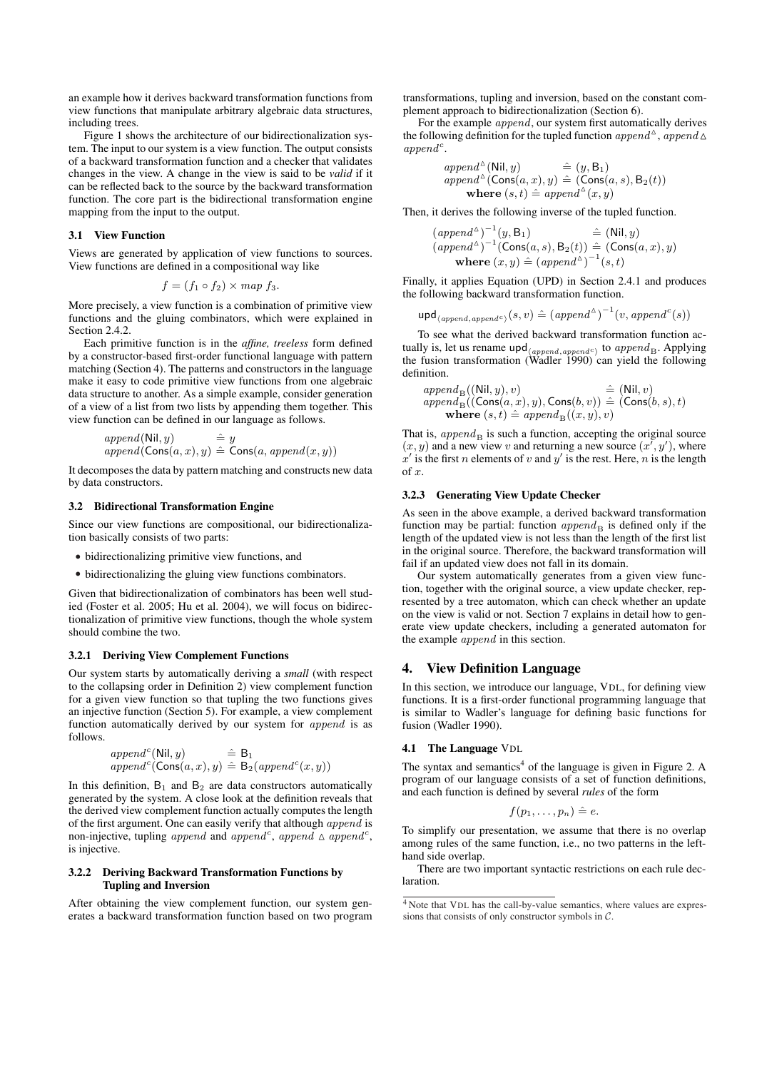an example how it derives backward transformation functions from view functions that manipulate arbitrary algebraic data structures, including trees.

Figure 1 shows the architecture of our bidirectionalization system. The input to our system is a view function. The output consists of a backward transformation function and a checker that validates changes in the view. A change in the view is said to be *valid* if it can be reflected back to the source by the backward transformation function. The core part is the bidirectional transformation engine mapping from the input to the output.

#### 3.1 View Function

Views are generated by application of view functions to sources. View functions are defined in a compositional way like

$$
f = (f_1 \circ f_2) \times map \; f_3.
$$

More precisely, a view function is a combination of primitive view functions and the gluing combinators, which were explained in Section 2.4.2.

Each primitive function is in the *affine, treeless* form defined by a constructor-based first-order functional language with pattern matching (Section 4). The patterns and constructors in the language make it easy to code primitive view functions from one algebraic data structure to another. As a simple example, consider generation of a view of a list from two lists by appending them together. This view function can be defined in our language as follows.

$$
append(Nil, y)
$$
  $\hat{=}$   $y$   
append(Cons $(a, x), y$ )  $\hat{=}$  Cons $(a, append(x, y))$ 

It decomposes the data by pattern matching and constructs new data by data constructors.

#### 3.2 Bidirectional Transformation Engine

Since our view functions are compositional, our bidirectionalization basically consists of two parts:

- bidirectionalizing primitive view functions, and
- *•* bidirectionalizing the gluing view functions combinators.

Given that bidirectionalization of combinators has been well studied (Foster et al. 2005; Hu et al. 2004), we will focus on bidirectionalization of primitive view functions, though the whole system should combine the two.

#### 3.2.1 Deriving View Complement Functions

Our system starts by automatically deriving a *small* (with respect to the collapsing order in Definition 2) view complement function for a given view function so that tupling the two functions gives an injective function (Section 5). For example, a view complement function automatically derived by our system for *append* is as follows.

$$
append^c(\text{Nil}, y) \triangleq B_1
$$
  
append<sup>c</sup>(\text{Cons}(a, x), y)  $\hat{=} B_2$ (append<sup>c</sup>(x, y))

In this definition,  $B_1$  and  $B_2$  are data constructors automatically generated by the system. A close look at the definition reveals that the derived view complement function actually computes the length of the first argument. One can easily verify that although *append* is non-injective, tupling *append* and *append*<sup>c</sup>, *append*  $\Delta$  *append*<sup>c</sup>, is injective.

#### 3.2.2 Deriving Backward Transformation Functions by Tupling and Inversion

After obtaining the view complement function, our system generates a backward transformation function based on two program transformations, tupling and inversion, based on the constant complement approach to bidirectionalization (Section 6).

For the example *append*, our system first automatically derives the following definition for the tupled function  $append^{\triangle}$ ,  $append\triangle$  $append<sup>c</sup>$ .

$$
\begin{array}{ll}\n\text{append}^{\triangle}(\mathsf{Nil},y) & \triangleq (y,\mathsf{B}_1) \\
\text{append}^{\triangle}(\mathsf{Cons}(a,x),y) & \triangleq (\mathsf{Cons}(a,s),\mathsf{B}_2(t)) \\
\text{where } (s,t) \triangleq append^{\triangle}(x,y)\n\end{array}
$$

Then, it derives the following inverse of the tupled function.

$$
\begin{array}{ll}\n(\text{append}^{\Delta})^{-1}(y, \mathsf{B}_1) & \hat{=} (\mathsf{Nil}, y) \\
(\text{append}^{\Delta})^{-1}(\mathsf{Cons}(a, s), \mathsf{B}_2(t)) & \hat{=} (\mathsf{Cons}(a, x), y) \\
& \mathbf{where} \ (x, y) \hat{=} (\text{append}^{\Delta})^{-1}(s, t)\n\end{array}
$$

Finally, it applies Equation (UPD) in Section 2.4.1 and produces the following backward transformation function.

$$
\mathsf{upd}_{\langle append, append^c \rangle}(s,v) \mathrel{\hat{=}} (append^{\triangle})^{-1}(v, append^c(s))
$$

To see what the derived backward transformation function actually is, let us rename  $\text{upd}_{\langle append, append^c \rangle}$  to  $append_B$ . Applying the fusion transformation (Wadler 1990) can yield the following definition.

$$
\begin{array}{ll}\n\text{append}_{\text{B}}((\text{Nil},y),v) & \hat{=} (\text{Nil},v) \\
\text{append}_{\text{B}}((\text{Cons}(a,x),y),\text{Cons}(b,v)) & \hat{=} (\text{Cons}(b,s),t) \\
\text{where } (s,t) \hat{=} \text{ append}_{\text{B}}((x,y),v)\n\end{array}
$$

That is,  $append_B$  is such a function, accepting the original source  $(x, y)$  and a new view *v* and returning a new source  $(x^7, y^7)$ , where  $x'$  is the first *n* elements of *v* and  $y'$  is the rest. Here, *n* is the length of *x*.

#### 3.2.3 Generating View Update Checker

As seen in the above example, a derived backward transformation function may be partial: function  $append_B$  is defined only if the length of the updated view is not less than the length of the first list in the original source. Therefore, the backward transformation will fail if an updated view does not fall in its domain.

Our system automatically generates from a given view function, together with the original source, a view update checker, represented by a tree automaton, which can check whether an update on the view is valid or not. Section 7 explains in detail how to generate view update checkers, including a generated automaton for the example *append* in this section.

#### 4. View Definition Language

In this section, we introduce our language, VDL, for defining view functions. It is a first-order functional programming language that is similar to Wadler's language for defining basic functions for fusion (Wadler 1990).

#### 4.1 The Language VDL

The syntax and semantics<sup>4</sup> of the language is given in Figure 2. A program of our language consists of a set of function definitions, and each function is defined by several *rules* of the form

$$
f(p_1,\ldots,p_n)\hat{=} e.
$$

To simplify our presentation, we assume that there is no overlap among rules of the same function, i.e., no two patterns in the lefthand side overlap.

There are two important syntactic restrictions on each rule declaration.

<sup>4</sup> Note that VDL has the call-by-value semantics, where values are expressions that consists of only constructor symbols in *C*.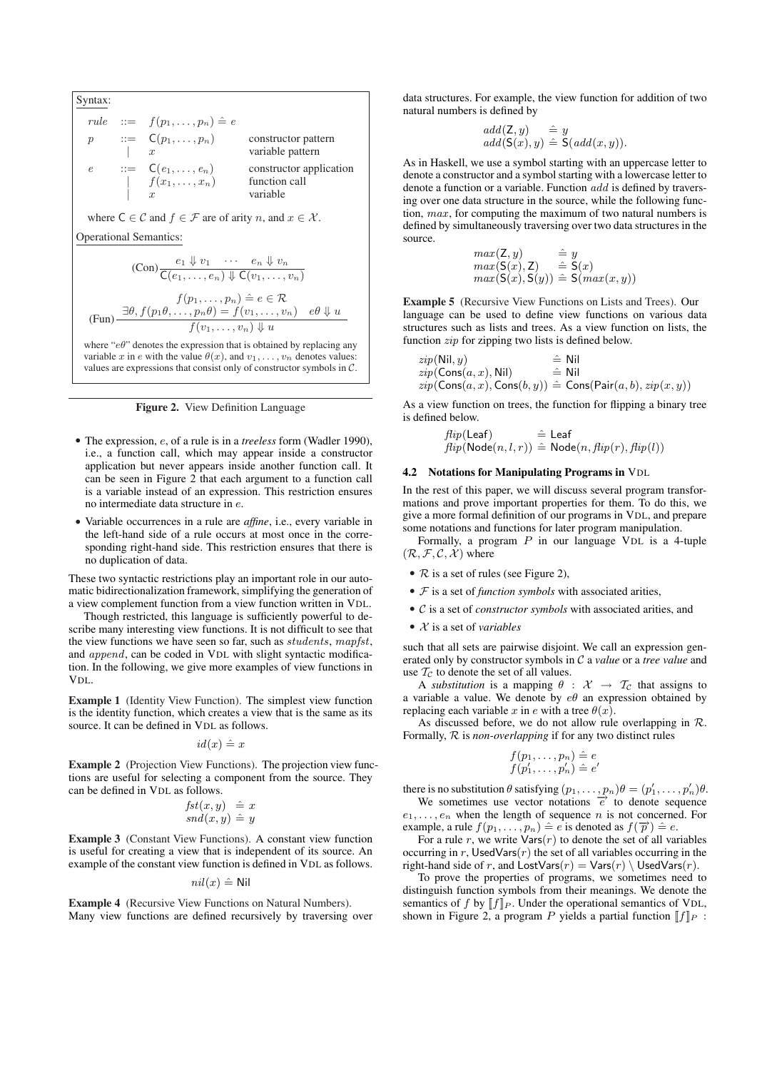| Syntax:                                                                                                         |                         |
|-----------------------------------------------------------------------------------------------------------------|-------------------------|
| $rule \ :: = f(p_1, \ldots, p_n) \doteq e$                                                                      | constructor pattern     |
| $p \ :: = C(p_1, \ldots, p_n)$                                                                                  | constructor pattern     |
| $e \ :: = C(e_1, \ldots, e_n)$                                                                                  | constructor application |
| $f(x_1, \ldots, x_n)$                                                                                           | function call           |
| $x$                                                                                                             | variable                |
| where $C \in C$ and $f \in \mathcal{F}$ are of arity <i>n</i> , and $x \in \mathcal{X}$ .                       |                         |
| Operational Semantics:                                                                                          |                         |
| $(Con) \frac{e_1 \Downarrow v_1 \cdots e_n \Downarrow v_n}{C(e_1, \ldots, e_n) \Downarrow C(v_1, \ldots, v_n)}$ |                         |
| $f(p_1, \ldots, p_n \theta) = f(v_1, \ldots, v_n) \quad \theta \theta \Downarrow u$                             |                         |
| $f(v_1, \ldots, v_n) \Downarrow u$                                                                              |                         |

where "*eθ*" denotes the expression that is obtained by replacing any variable *x* in *e* with the value  $\theta(x)$ , and  $v_1, \ldots, v_n$  denotes values: values are expressions that consist only of constructor symbols in *C*.

Figure 2. View Definition Language

- *•* The expression, *e*, of a rule is in a *treeless* form (Wadler 1990), i.e., a function call, which may appear inside a constructor application but never appears inside another function call. It can be seen in Figure 2 that each argument to a function call is a variable instead of an expression. This restriction ensures no intermediate data structure in *e*.
- *•* Variable occurrences in a rule are *affine*, i.e., every variable in the left-hand side of a rule occurs at most once in the corresponding right-hand side. This restriction ensures that there is no duplication of data.

These two syntactic restrictions play an important role in our automatic bidirectionalization framework, simplifying the generation of a view complement function from a view function written in VDL.

Though restricted, this language is sufficiently powerful to describe many interesting view functions. It is not difficult to see that the view functions we have seen so far, such as *students*, *mapfst*, and *append*, can be coded in VDL with slight syntactic modification. In the following, we give more examples of view functions in VDL.

Example 1 (Identity View Function). The simplest view function is the identity function, which creates a view that is the same as its source. It can be defined in VDL as follows.

$$
id(x) \doteq x
$$

Example 2 (Projection View Functions). The projection view functions are useful for selecting a component from the source. They can be defined in VDL as follows.

$$
\begin{array}{c} \mathit{fst}(x,y) \;\mathrel{\hat{=}}\; x \\ \mathit{snd}(x,y) \;\mathrel{\hat{=}}\; y \end{array}
$$

Example 3 (Constant View Functions). A constant view function is useful for creating a view that is independent of its source. An example of the constant view function is defined in VDL as follows.

$$
nil(x)\mathrel{\hat{=}}\mathsf{Nil}
$$

Example 4 (Recursive View Functions on Natural Numbers). Many view functions are defined recursively by traversing over data structures. For example, the view function for addition of two natural numbers is defined by

$$
add(\mathsf{Z}, y) \stackrel{\scriptscriptstyle\triangle}{=} yadd(\mathsf{S}(x), y) \stackrel{\scriptscriptstyle\triangle}{=} \mathsf{S}(add(x, y)).
$$

As in Haskell, we use a symbol starting with an uppercase letter to denote a constructor and a symbol starting with a lowercase letter to denote a function or a variable. Function *add* is defined by traversing over one data structure in the source, while the following function, *max* , for computing the maximum of two natural numbers is defined by simultaneously traversing over two data structures in the source.

$$
max(\mathsf{Z},y) \qquad \hat{=} \, y \nmax(\mathsf{S}(x),\mathsf{Z}) \qquad \hat{=} \, \mathsf{S}(x) \nmax(\mathsf{S}(x),\mathsf{S}(y)) \hat{=} \, \mathsf{S}(max(x,y))
$$

Example 5 (Recursive View Functions on Lists and Trees). Our language can be used to define view functions on various data structures such as lists and trees. As a view function on lists, the function *zip* for zipping two lists is defined below.

$$
zip(Nil, y) \n\hat{=} Nil\n\begin{array}{ll}\n\hat{zip}(\textsf{Cons}(a, x), \textsf{Nil}) & \hat{=} Nil \\
\hat{zip}(\textsf{Cons}(a, x), \textsf{Cons}(b, y)) & \hat{=} \textsf{Cons}(\textsf{Pair}(a, b), \hat{zip}(x, y))\n\end{array}
$$

As a view function on trees, the function for flipping a binary tree is defined below.

$$
\begin{array}{ll}\mathit{flip}(\mathsf{Leaf}) & \hat{=} \; \mathsf{Leaf} \\ \mathit{flip}(\mathsf{Node}(n,l,r)) \, \hat{=} \; \mathsf{Node}(n,\mathit{flip}(r),\mathit{flip}(l)) \end{array}
$$

#### 4.2 Notations for Manipulating Programs in VDL

In the rest of this paper, we will discuss several program transformations and prove important properties for them. To do this, we give a more formal definition of our programs in VDL, and prepare some notations and functions for later program manipulation.

Formally, a program  $P$  in our language VDL is a 4-tuple  $(R, \mathcal{F}, \mathcal{C}, \mathcal{X})$  where

- *• R* is a set of rules (see Figure 2),
- *• F* is a set of *function symbols* with associated arities,
- *• C* is a set of *constructor symbols* with associated arities, and
- *• X* is a set of *variables*

such that all sets are pairwise disjoint. We call an expression generated only by constructor symbols in *C* a *value* or a *tree value* and use  $T_c$  to denote the set of all values.

A *substitution* is a mapping  $\theta$  :  $\mathcal{X} \rightarrow \mathcal{T}_{\mathcal{C}}$  that assigns to a variable a value. We denote by *eθ* an expression obtained by replacing each variable  $x$  in  $e$  with a tree  $\theta(x)$ .

As discussed before, we do not allow rule overlapping in *R*. Formally, *R* is *non-overlapping* if for any two distinct rules

$$
f(p_1, \ldots, p_n) \hat{=} e
$$
  

$$
f(p'_1, \ldots, p'_n) \hat{=} e'
$$

there is no substitution  $\theta$  satisfying  $(p_1, \ldots, p_n)\theta = (p'_1, \ldots, p'_n)\theta$ . We sometimes use vector notations  $\vec{e}$  to denote sequence

 $e_1, \ldots, e_n$  when the length of sequence *n* is not concerned. For  $\text{example, a rule } f(p_1, \ldots, p_n) \triangleq e \text{ is denoted as } f(\vec{p}) \triangleq e.$ 

For a rule  $r$ , we write  $\text{Vars}(r)$  to denote the set of all variables occurring in  $r$ , UsedVars $(r)$  the set of all variables occurring in the right-hand side of *r*, and  $\textsf{LossVar}(r) = \textsf{Vars}(r) \setminus \textsf{UsedVars}(r)$ .

To prove the properties of programs, we sometimes need to distinguish function symbols from their meanings. We denote the semantics of *f* by  $[[f]]_P$ . Under the operational semantics of VDL, shown in Figure 2, a program P yields a partial function  $\llbracket f \rrbracket_P$  :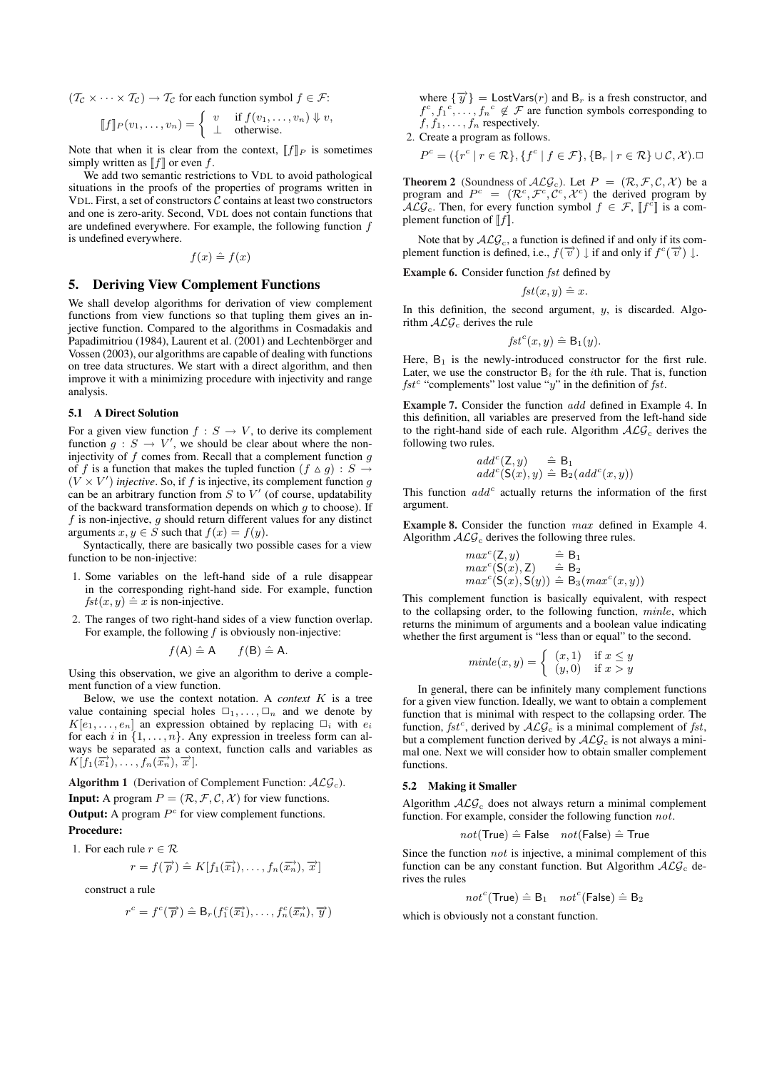$(T_C \times \cdots \times T_C) \rightarrow T_C$  for each function symbol  $f \in \mathcal{F}$ :

$$
\llbracket f \rrbracket_P(v_1,\ldots,v_n) = \begin{cases} v & \text{if } f(v_1,\ldots,v_n) \Downarrow v, \\ \bot & \text{otherwise.} \end{cases}
$$

Note that when it is clear from the context,  $\llbracket f \rrbracket_P$  is sometimes simply written as  $\llbracket f \rrbracket$  or even *f*.

We add two semantic restrictions to VDL to avoid pathological situations in the proofs of the properties of programs written in VDL. First, a set of constructors *C* contains at least two constructors and one is zero-arity. Second, VDL does not contain functions that are undefined everywhere. For example, the following function *f* is undefined everywhere.

$$
f(x) \mathrel{\hat{=}} f(x)
$$

## 5. Deriving View Complement Functions

We shall develop algorithms for derivation of view complement functions from view functions so that tupling them gives an injective function. Compared to the algorithms in Cosmadakis and Papadimitriou (1984), Laurent et al. (2001) and Lechtenbörger and Vossen (2003), our algorithms are capable of dealing with functions on tree data structures. We start with a direct algorithm, and then improve it with a minimizing procedure with injectivity and range analysis.

#### 5.1 A Direct Solution

For a given view function  $f : S \to V$ , to derive its complement function  $g : S \to V'$ , we should be clear about where the noninjectivity of *f* comes from. Recall that a complement function *g* of *f* is a function that makes the tupled function  $(f \triangle g) : S \rightarrow$  $(V \times V')$  *injective*. So, if *f* is injective, its complement function *g* can be an arbitrary function from  $S$  to  $V'$  (of course, updatability of the backward transformation depends on which *g* to choose). If *f* is non-injective, *g* should return different values for any distinct arguments  $x, y \in S$  such that  $f(x) = f(y)$ .

Syntactically, there are basically two possible cases for a view function to be non-injective:

- 1. Some variables on the left-hand side of a rule disappear in the corresponding right-hand side. For example, function  $fst(x, y) \triangleq x$  is non-injective.
- 2. The ranges of two right-hand sides of a view function overlap. For example, the following *f* is obviously non-injective:

$$
f(\mathsf{A}) \doteq \mathsf{A} \qquad f(\mathsf{B}) \doteq \mathsf{A}.
$$

Using this observation, we give an algorithm to derive a complement function of a view function.

Below, we use the context notation. A *context K* is a tree value containing special holes  $\square_1, \ldots, \square_n$  and we denote by  $K[e_1, \ldots, e_n]$  an expression obtained by replacing  $\Box_i$  with  $e_i$ for each  $i$  in  $\{1, \ldots, n\}$ . Any expression in treeless form can always be separated as a context, function calls and variables as  $K[f_1(\overrightarrow{x_1}), \ldots, f_n(\overrightarrow{x_n}), \overrightarrow{x}].$ 

Algorithm 1 (Derivation of Complement Function:  $ALG_c$ ).

**Input:** A program 
$$
P = (\mathcal{R}, \mathcal{F}, \mathcal{C}, \mathcal{X})
$$
 for view functions.  
**Output:** A program  $P^c$  for view complement functions.

Procedure:

1. For each rule 
$$
r \in \mathcal{R}
$$

$$
r = f(\overrightarrow{p}) \hat{=} K[f_1(\overrightarrow{x_1}), \ldots, f_n(\overrightarrow{x_n}), \overrightarrow{x}]
$$

construct a rule

*r*

$$
x^c = f^c(\vec{p}) \hat{=} B_r(f_1^c(\vec{x_1}), \ldots, f_n^c(\vec{x_n}), \vec{y})
$$

where  $\{\overrightarrow{y}\}$  = LostVars(*r*) and B<sub>*r*</sub> is a fresh constructor, and  $f^c, f_1^c, \ldots, f_n^c \notin \mathcal{F}$  are function symbols corresponding to  $f, f_1, \ldots, f_n$  respectively.

2. Create a program as follows.

$$
P^c = (\{r^c \mid r \in \mathcal{R}\}, \{f^c \mid f \in \mathcal{F}\}, \{B_r \mid r \in \mathcal{R}\} \cup \mathcal{C}, \mathcal{X}).\square
$$

**Theorem 2** (Soundness of  $ALG_c$ ). Let  $P = (\mathcal{R}, \mathcal{F}, \mathcal{C}, \mathcal{X})$  be a program and  $P^c = (\mathcal{R}^c, \mathcal{F}^c, \mathcal{C}^c, \mathcal{X}^c)$  the derived program by  $\mathcal{ALG}_c$ . Then, for every function symbol  $f \in \mathcal{F}$ ,  $[f^c]$  is a complement function of  $\llbracket f \rrbracket$ .

Note that by  $ALG_c$ , a function is defined if and only if its complement function is defined, i.e.,  $f(\vec{v}) \downarrow$  if and only if  $f^c(\vec{v}) \downarrow$ .

Example 6. Consider function *fst* defined by

$$
fst(x, y) \doteq x.
$$

In this definition, the second argument, *y*, is discarded. Algorithm  $ACG_c$  derives the rule

$$
fst^{c}(x, y) \hat{=} B_{1}(y).
$$

Here,  $B_1$  is the newly-introduced constructor for the first rule. Later, we use the constructor  $B_i$  for the *i*th rule. That is, function *fst <sup>c</sup>* "complements" lost value "*y*" in the definition of *fst*.

Example 7. Consider the function *add* defined in Example 4. In this definition, all variables are preserved from the left-hand side to the right-hand side of each rule. Algorithm  $ALG_c$  derives the following two rules.

$$
add^c(Z, y) \hat{=} B_1
$$
  

$$
add^c(S(x), y) \hat{=} B_2(add^c(x, y))
$$

This function  $add^c$  actually returns the information of the first argument.

Example 8. Consider the function *max* defined in Example 4. Algorithm  $ALG_c$  derives the following three rules.

$$
maxc(Z, y) \hat{=} B_1maxc(S(x), Z) \hat{=} B_2maxc(S(x), S(y)) \hat{=} B_3(maxc(x, y))
$$

This complement function is basically equivalent, with respect to the collapsing order, to the following function, *minle*, which returns the minimum of arguments and a boolean value indicating whether the first argument is "less than or equal" to the second.

$$
minle(x, y) = \begin{cases} (x, 1) & \text{if } x \le y \\ (y, 0) & \text{if } x > y \end{cases}
$$

In general, there can be infinitely many complement functions for a given view function. Ideally, we want to obtain a complement function that is minimal with respect to the collapsing order. The function,  $fst^c$ , derived by  $\mathcal{ALG}_c$  is a minimal complement of  $fst$ , but a complement function derived by  $A\mathcal{LG}_c$  is not always a minimal one. Next we will consider how to obtain smaller complement functions.

#### 5.2 Making it Smaller

Algorithm  $ALG_c$  does not always return a minimal complement function. For example, consider the following function *not*.

$$
not(\text{True}) \triangleq \text{False} \quad not(\text{False}) \triangleq \text{True}
$$

Since the function *not* is injective, a minimal complement of this function can be any constant function. But Algorithm  $ALG_c$  derives the rules

$$
\mathit{not}^c(\mathsf{True}) \mathrel{\hat=} B_1 \quad \mathit{not}^c(\mathsf{False}) \mathrel{\hat=} B_2
$$

which is obviously not a constant function.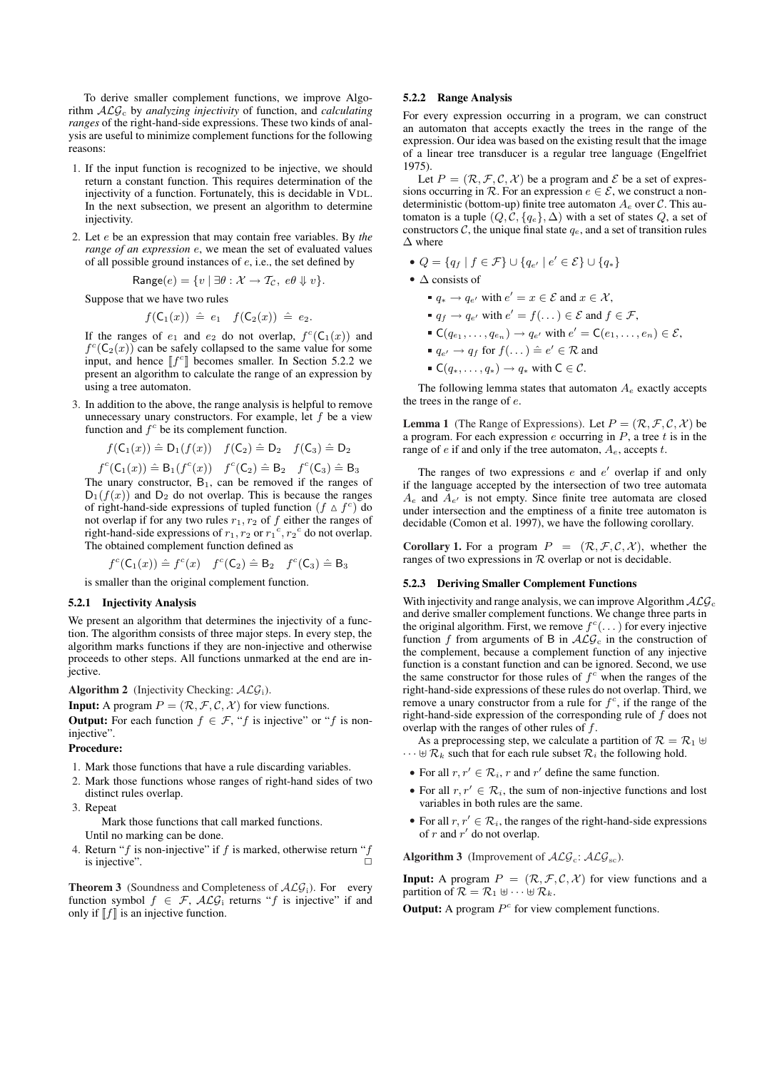To derive smaller complement functions, we improve Algorithm *ALG*<sup>c</sup> by *analyzing injectivity* of function, and *calculating ranges* of the right-hand-side expressions. These two kinds of analysis are useful to minimize complement functions for the following reasons:

- 1. If the input function is recognized to be injective, we should return a constant function. This requires determination of the injectivity of a function. Fortunately, this is decidable in VDL. In the next subsection, we present an algorithm to determine injectivity.
- 2. Let *e* be an expression that may contain free variables. By *the range of an expression e*, we mean the set of evaluated values of all possible ground instances of *e*, i.e., the set defined by

Range
$$
(e)
$$
 = { $v$  |  $\exists \theta : \mathcal{X} \rightarrow \mathcal{T}_c$ ,  $e\theta \Downarrow v$  }.

Suppose that we have two rules

$$
f(\mathsf{C}_1(x)) \ \hat{=}\ e_1 \quad f(\mathsf{C}_2(x)) \ \hat{=}\ e_2.
$$

- If the ranges of  $e_1$  and  $e_2$  do not overlap,  $f^c(\mathsf{C}_1(x))$  and  $f^c(\mathsf{C}_2(x))$  can be safely collapsed to the same value for some input, and hence  $\llbracket f^c \rrbracket$  becomes smaller. In Section 5.2.2 we present an algorithm to calculate the range of an expression by using a tree automaton.
- 3. In addition to the above, the range analysis is helpful to remove unnecessary unary constructors. For example, let *f* be a view function and  $f^c$  be its complement function.

$$
f(\mathsf{C}_1(x)) \doteq \mathsf{D}_1(f(x)) \quad f(\mathsf{C}_2) \doteq \mathsf{D}_2 \quad f(\mathsf{C}_3) \doteq \mathsf{D}_2
$$

 $f^{c}(\mathsf{C}_1(x)) \triangleq \mathsf{B}_1(f^{c}(x))$   $f^{c}(\mathsf{C}_2) \triangleq \mathsf{B}_2$   $f^{c}(\mathsf{C}_3) \triangleq \mathsf{B}_3$ The unary constructor,  $B_1$ , can be removed if the ranges of  $D_1(f(x))$  and  $D_2$  do not overlap. This is because the ranges of right-hand-side expressions of tupled function  $(f \triangle f^c)$  do not overlap if for any two rules  $r_1, r_2$  of  $f$  either the ranges of right-hand-side expressions of  $r_1, r_2$  or  $r_1^c, r_2^c$  do not overlap. The obtained complement function defined as

$$
f^c(\mathsf{C}_1(x)) \doteq f^c(x) \quad f^c(\mathsf{C}_2) \doteq \mathsf{B}_2 \quad f^c(\mathsf{C}_3) \doteq \mathsf{B}_3
$$

is smaller than the original complement function.

## 5.2.1 Injectivity Analysis

We present an algorithm that determines the injectivity of a function. The algorithm consists of three major steps. In every step, the algorithm marks functions if they are non-injective and otherwise proceeds to other steps. All functions unmarked at the end are injective.

Algorithm 2 (Injectivity Checking:  $A\mathcal{LG}_i$ ).

**Input:** A program  $P = (\mathcal{R}, \mathcal{F}, \mathcal{C}, \mathcal{X})$  for view functions.

**Output:** For each function  $f \in \mathcal{F}$ , "*f* is injective" or "*f* is noninjective".

#### Procedure:

- 1. Mark those functions that have a rule discarding variables.
- 2. Mark those functions whose ranges of right-hand sides of two distinct rules overlap.
- 3. Repeat

Mark those functions that call marked functions. Until no marking can be done.

4. Return "*f* is non-injective" if *f* is marked, otherwise return "*f* is injective".  $\Box$ 

Theorem 3 (Soundness and Completeness of  $ALG_i$ ). For every function symbol  $f \in \mathcal{F}$ ,  $\mathcal{ALG}_i$  returns "*f* is injective" if and only if  $\llbracket f \rrbracket$  is an injective function.

#### 5.2.2 Range Analysis

For every expression occurring in a program, we can construct an automaton that accepts exactly the trees in the range of the expression. Our idea was based on the existing result that the image of a linear tree transducer is a regular tree language (Engelfriet 1975).

Let  $P = (\mathcal{R}, \mathcal{F}, \mathcal{C}, \mathcal{X})$  be a program and  $\mathcal{E}$  be a set of expressions occurring in  $\mathcal{R}$ . For an expression  $e \in \mathcal{E}$ , we construct a nondeterministic (bottom-up) finite tree automaton *A<sup>e</sup>* over *C*. This automaton is a tuple  $(Q, C, \{q_e\}, \Delta)$  with a set of states  $Q$ , a set of constructors  $C$ , the unique final state  $q_e$ , and a set of transition rules ∆ where

- *•*  $Q = \{q_f | f \in \mathcal{F}\}\cup\{q_{e'} | e' \in \mathcal{E}\}\cup\{q_*\}$
- *•* ∆ consists of
	- $q_* \to q_{e'}$  with  $e' = x \in \mathcal{E}$  and  $x \in \mathcal{X}$ ,
	- $q_f \rightarrow q_{e'}$  with  $e' = f(\dots) \in \mathcal{E}$  and  $f \in \mathcal{F}$ ,
	- $C(q_{e_1}, \ldots, q_{e_n}) \to q_{e'}$  with  $e' = C(e_1, \ldots, e_n) \in \mathcal{E}$ ,
	- $q_{e'} \rightarrow q_f$  for  $f(\dots) \triangleq e' \in \mathcal{R}$  and
	- $\mathsf{C}(q_*, \ldots, q_*) \to q_*$  with  $\mathsf{C} \in \mathcal{C}$ .

The following lemma states that automaton  $A_e$  exactly accepts the trees in the range of *e*.

**Lemma 1** (The Range of Expressions). Let  $P = (\mathcal{R}, \mathcal{F}, \mathcal{C}, \mathcal{X})$  be a program. For each expression *e* occurring in *P*, a tree *t* is in the range of *e* if and only if the tree automaton, *Ae*, accepts *t*.

The ranges of two expressions  $e$  and  $e'$  overlap if and only if the language accepted by the intersection of two tree automata  $A_e$  and  $A_{e}$ <sup>*i*</sup> is not empty. Since finite tree automata are closed under intersection and the emptiness of a finite tree automaton is decidable (Comon et al. 1997), we have the following corollary.

**Corollary 1.** For a program  $P = (\mathcal{R}, \mathcal{F}, \mathcal{C}, \mathcal{X})$ , whether the ranges of two expressions in  $R$  overlap or not is decidable.

#### 5.2.3 Deriving Smaller Complement Functions

With injectivity and range analysis, we can improve Algorithm  $ALG<sub>c</sub>$ and derive smaller complement functions. We change three parts in the original algorithm. First, we remove  $f^c(\ldots)$  for every injective function *f* from arguments of B in  $ALG_c$  in the construction of the complement, because a complement function of any injective function is a constant function and can be ignored. Second, we use the same constructor for those rules of  $f^c$  when the ranges of the right-hand-side expressions of these rules do not overlap. Third, we remove a unary constructor from a rule for  $f^c$ , if the range of the right-hand-side expression of the corresponding rule of *f* does not overlap with the ranges of other rules of *f*.

As a preprocessing step, we calculate a partition of  $\mathcal{R} = \mathcal{R}_1 \oplus \mathcal{R}_2$  $\cdots \oplus \mathcal{R}_k$  such that for each rule subset  $\mathcal{R}_i$  the following hold.

- For all  $r, r' \in \mathcal{R}_i$ , *r* and  $r'$  define the same function.
- For all  $r, r' \in \mathcal{R}_i$ , the sum of non-injective functions and lost variables in both rules are the same.
- For all  $r, r' \in \mathcal{R}_i$ , the ranges of the right-hand-side expressions of  $r$  and  $r'$  do not overlap.

Algorithm 3 (Improvement of  $\mathcal{ALG}_{c}: \mathcal{ALG}_{sc}$ ).

**Input:** A program  $P = (\mathcal{R}, \mathcal{F}, \mathcal{C}, \mathcal{X})$  for view functions and a partition of  $\mathcal{R} = \mathcal{R}_1 \uplus \cdots \uplus \mathcal{R}_k$ .

**Output:** A program  $P^c$  for view complement functions.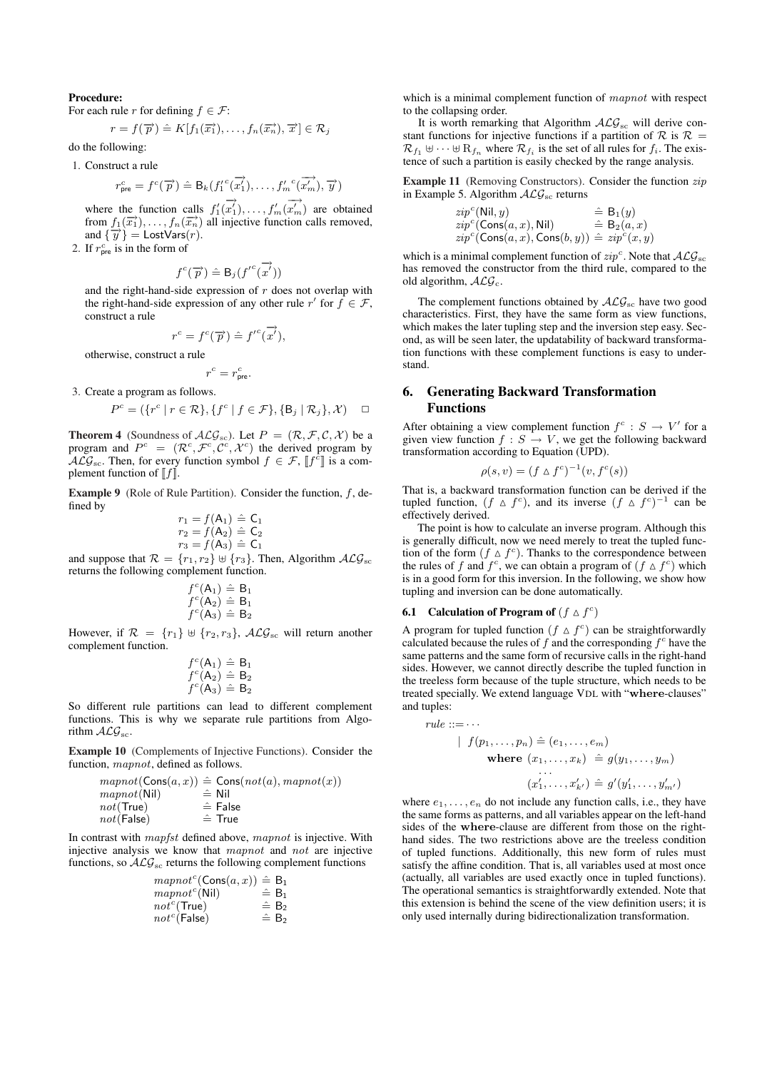#### Procedure:

For each rule *r* for defining  $f \in \mathcal{F}$ :

$$
r = f(\overrightarrow{p}) \triangleq K[f_1(\overrightarrow{x_1}), \ldots, f_n(\overrightarrow{x_n}), \overrightarrow{x}] \in \mathcal{R}_j
$$

do the following:

1. Construct a rule

$$
r_{\mathsf{pre}}^c = f^c(\overrightarrow{p}) \triangleq \mathsf{B}_k(f_1'^c(\overrightarrow{x_1}), \ldots, f_m'^c(\overrightarrow{x_m}), \overrightarrow{y})
$$

where the function calls  $f'_{1}(\vec{x'_{1}}), \ldots, f'_{m}(\vec{x'_{m}})$  are obtained from  $f_1(\vec{x_1}), \ldots, f_n(\vec{x_n})$  all injective function calls removed, and  $\{\overrightarrow{y}\}\$  = LostVars(*r*).

2. If  $r_{\text{pre}}^c$  is in the form of

$$
f^c(\overrightarrow{p}) \triangleq \mathsf{B}_j(f'^c(\overrightarrow{x'}))
$$

and the right-hand-side expression of *r* does not overlap with the right-hand-side expression of any other rule  $r'$  for  $\hat{f} \in \mathcal{F}$ , construct a rule

$$
r^{c} = f^{c}(\overrightarrow{p}) \doteq f'^{c}(\overrightarrow{x'}),
$$

otherwise, construct a rule

$$
r^c = r^c_{\text{pre}}.
$$

3. Create a program as follows.

$$
P^c = (\{r^c \mid r \in \mathcal{R}\}, \{f^c \mid f \in \mathcal{F}\}, \{B_j \mid \mathcal{R}_j\}, \mathcal{X}) \quad \Box
$$

**Theorem 4** (Soundness of  $\mathcal{ALG}_{\text{sc}}$ ). Let  $P = (\mathcal{R}, \mathcal{F}, \mathcal{C}, \mathcal{X})$  be a program and  $P^c = (\mathcal{R}^c, \mathcal{F}^c, \mathcal{C}^c, \mathcal{X}^c)$  the derived program by  $\mathcal{A}\mathcal{L}\mathcal{G}_{\text{sc}}$ . Then, for every function symbol  $f \in \mathcal{F}$ ,  $\llbracket f^c \rrbracket$  is a complement function of  $\llbracket f \rrbracket$ .

Example 9 (Role of Rule Partition). Consider the function, *f*, defined by

$$
r_1 = f(A_1) \hat{=} C_1
$$
  
\n
$$
r_2 = f(A_2) \hat{=} C_2
$$
  
\n
$$
r_3 = f(A_3) \hat{=} C_1
$$

and suppose that  $\mathcal{R} = \{r_1, r_2\} \oplus \{r_3\}$ . Then, Algorithm  $\mathcal{ALG}_{\text{sc}}$ returns the following complement function.

$$
\begin{array}{c}f^c(A_1)\mathrel{\hat{=}} B_1 \\ f^c(A_2)\mathrel{\hat{=}} B_1 \\ f^c(A_3)\mathrel{\hat{=}} B_2\end{array}
$$

However, if  $\mathcal{R} = \{r_1\} \oplus \{r_2, r_3\}$ ,  $\mathcal{ALG}_{\text{sc}}$  will return another complement function.

$$
\begin{array}{c}f^c(A_1)\,\,\hat{=}\,\,B_1\\ f^c(A_2)\,\,\hat{=}\,\,B_2\\ f^c(A_3)\,\,\hat{=}\,\,B_2\end{array}
$$

So different rule partitions can lead to different complement functions. This is why we separate rule partitions from Algorithm  $A\mathcal{L}\mathcal{G}_{\text{sc}}$ .

Example 10 (Complements of Injective Functions). Consider the function, *mapnot*, defined as follows.

$$
\begin{array}{l} \displaystyle \mathop{mapnot}({\sf Cons}(a,x)) \ \widehat{=} \ {\sf Cons}(\mathop{not}(a),\mathop{mapnot}(x)) \\ \displaystyle \mathop{mapnot}({\sf True}) \qquad \ \ \, \hat{=} \ {\sf Nil} \\ \displaystyle \mathop{not}({\sf False}) \qquad \ \ \, \hat{=} \ {\sf False} \\ \displaystyle \mathop{not}({\sf False}) \qquad \ \ \, \hat{=} \ {\sf True} \end{array}
$$

In contrast with *mapfst* defined above, *mapnot* is injective. With injective analysis we know that *mapnot* and *not* are injective functions, so  $\widehat{ALG}_{\text{sc}}$  returns the following complement functions

$$
\begin{array}{ll} \displaystyle \begin{array}{ll} \displaystyle mapnot^c(\mathsf{Cons}(a,x))\,\,\hat{=}\,\, \mathrm{B}_1 \\ \displaystyle \begin{array}{ll} \displaystyle mapnot^c(\mathsf{Nil}) & \displaystyle \hat{=} \,\, \mathrm{B}_1 \\ \displaystyle \begin{array}{ll} \displaystyle not^c(\mathsf{True}) & \displaystyle \hat{=} \,\, \mathrm{B}_2 \\ \displaystyle not^c(\mathsf{False}) & \displaystyle \hat{=} \,\, \mathrm{B}_2 \end{array} \end{array} \end{array}
$$

which is a minimal complement function of *mapnot* with respect to the collapsing order.

It is worth remarking that Algorithm  $ALG_{sc}$  will derive constant functions for injective functions if a partition of  $R$  is  $R =$  $\mathcal{R}_{f_1} \oplus \cdots \oplus \mathcal{R}_{f_n}$  where  $\mathcal{R}_{f_i}$  is the set of all rules for  $f_i$ . The existence of such a partition is easily checked by the range analysis.

Example 11 (Removing Constructors). Consider the function *zip* in Example 5. Algorithm  $ALG_{\text{sc}}$  returns

$$
zip^{c}(\text{Nil}, y) \quad \hat{=} \text{B}_{1}(y)
$$
\n
$$
zip^{c}(\text{Cons}(a, x), \text{Nil}) \quad \hat{=} \text{B}_{2}(a, x)
$$
\n
$$
zip^{c}(\text{Cons}(a, x), \text{Cons}(b, y)) \hat{=} zip^{c}(x, y)
$$

which is a minimal complement function of  $zip^c$ . Note that  $\mathcal{ALG}_{sc}$ has removed the constructor from the third rule, compared to the old algorithm,  $ALG_c$ .

The complement functions obtained by  $\mathcal{ALG}_{\text{sc}}$  have two good characteristics. First, they have the same form as view functions, which makes the later tupling step and the inversion step easy. Second, as will be seen later, the updatability of backward transformation functions with these complement functions is easy to understand.

## 6. Generating Backward Transformation Functions

After obtaining a view complement function  $f^c : S \to V'$  for a given view function  $f : S \to V$ , we get the following backward transformation according to Equation (UPD).

$$
\rho(s, v) = (f \Delta f^c)^{-1}(v, f^c(s))
$$

That is, a backward transformation function can be derived if the tupled function,  $(f \Delta f^c)$ , and its inverse  $(f \Delta f^c)^{-1}$  can be effectively derived.

The point is how to calculate an inverse program. Although this is generally difficult, now we need merely to treat the tupled function of the form  $(f \Delta f^c)$ . Thanks to the correspondence between the rules of *f* and  $f^c$ , we can obtain a program of  $(f \triangle f^c)$  which is in a good form for this inversion. In the following, we show how tupling and inversion can be done automatically.

## **6.1** Calculation of Program of  $(f \triangle f^c)$

A program for tupled function  $(f \triangle f^c)$  can be straightforwardly calculated because the rules of  $f$  and the corresponding  $f^c$  have the same patterns and the same form of recursive calls in the right-hand sides. However, we cannot directly describe the tupled function in the treeless form because of the tuple structure, which needs to be treated specially. We extend language VDL with "**where**-clauses" and tuples:

rule ::= ...  
\n| 
$$
f(p_1,..., p_n) \triangleq (e_1,..., e_m)
$$
  
\nwhere  $(x_1,..., x_k) \triangleq g(y_1,..., y_m)$   
\n...  
\n $(x'_1,..., x'_{k'}) \triangleq g'(y'_1,..., y'_{m'})$ 

where  $e_1, \ldots, e_n$  do not include any function calls, i.e., they have the same forms as patterns, and all variables appear on the left-hand sides of the **where**-clause are different from those on the righthand sides. The two restrictions above are the treeless condition of tupled functions. Additionally, this new form of rules must satisfy the affine condition. That is, all variables used at most once (actually, all variables are used exactly once in tupled functions). The operational semantics is straightforwardly extended. Note that this extension is behind the scene of the view definition users; it is only used internally during bidirectionalization transformation.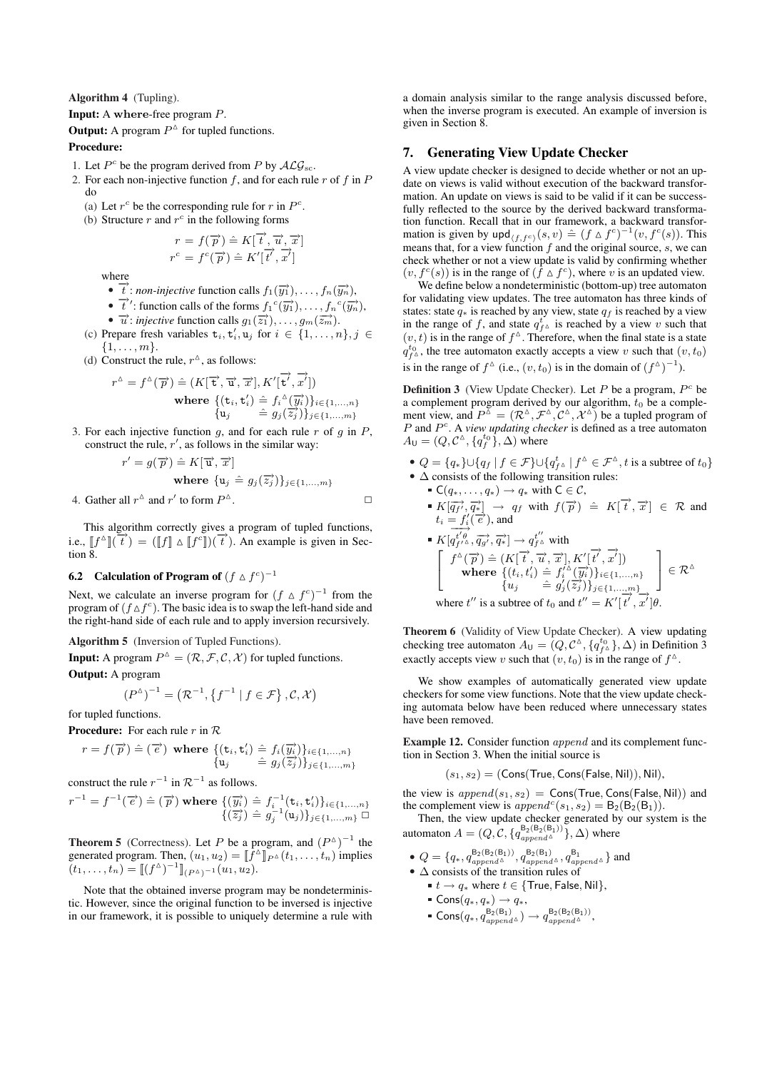Algorithm 4 (Tupling).

Input: A **where**-free program *P*.

**Output:** A program  $P^{\Delta}$  for tupled functions.

## Procedure:

- 1. Let  $P^c$  be the program derived from *P* by  $\mathcal{ALG}_{\text{sc}}$ .
- 2. For each non-injective function *f*, and for each rule *r* of *f* in *P* do
	- (a) Let  $r^c$  be the corresponding rule for *r* in  $P^c$ .
	- (b) Structure  $r$  and  $r^c$  in the following forms

$$
r = f(\overrightarrow{p}) \hat{=} K[\overrightarrow{t}, \overrightarrow{u}, \overrightarrow{x}]
$$

$$
r^{c} = f^{c}(\overrightarrow{p}) \hat{=} K'[\overrightarrow{t'}, \overrightarrow{x'}]
$$

where

- $\bullet$   $\overrightarrow{t}$  : *non-injective* function calls  $f_1(\overrightarrow{y_1}), \ldots, f_n(\overrightarrow{y_n}),$
- $\overrightarrow{t}$   $\overrightarrow{t}$ : function calls of the forms  $f_1^c(\overrightarrow{y_1}), \ldots, f_n^c(\overrightarrow{y_n}),$
- $\vec{u}$ : *injective* function calls  $g_1(\vec{z}_1), \ldots, g_m(\vec{z}_m)$ .
- (c) Prepare fresh variables  $\mathbf{t}_i, \mathbf{t}'_i, \mathbf{u}_j$  for  $i \in \{1, \ldots, n\}, j \in$ *{*1*, . . . , m}*.
- (d) Construct the rule,  $r^{\Delta}$ , as follows:

$$
r^{\vartriangle} = f^{\vartriangle}(\overrightarrow{p}) \hat{=} (K[\overrightarrow{\mathbf{t}},\overrightarrow{\mathbf{u}},\overrightarrow{x}], K'[\overrightarrow{\mathbf{t}'},\overrightarrow{x'}])
$$
  
where 
$$
\{(\mathbf{t}_i, \mathbf{t}'_i) \hat{=} f_i^{\vartriangle}(\overrightarrow{y_i})\}_{i \in \{1,...,n\}}
$$

$$
\{ \mathbf{u}_j \qquad \hat{=} g_j(\overrightarrow{z_j}) \}_{j \in \{1,...,m\}}
$$

3. For each injective function *g*, and for each rule *r* of *g* in *P*, construct the rule,  $r'$ , as follows in the similar way:

$$
r' = g(\overrightarrow{p}) \hat{=} K[\overrightarrow{u}, \overrightarrow{x}]
$$
  
where  $\{u_j \hat{=} g_j(\overrightarrow{z_j})\}_{j \in \{1, ..., m\}}$ 

4. Gather all  $r^{\Delta}$  and  $r'$  to form  $P^{\Delta}$ . *✷*

This algorithm correctly gives a program of tupled functions, i.e.,  $[f^{\Delta}](\vec{t}) = ([f] \Delta [f^c])(\vec{t})$ . An example is given in Section 8.

## **6.2** Calculation of Program of  $(f \triangle f^c)^{-1}$

Next, we calculate an inverse program for  $(f \triangle f^c)^{-1}$  from the program of  $(f \Delta f^c)$ . The basic idea is to swap the left-hand side and the right-hand side of each rule and to apply inversion recursively.

Algorithm 5 (Inversion of Tupled Functions).

**Input:** A program  $P^{\Delta} = (\mathcal{R}, \mathcal{F}, \mathcal{C}, \mathcal{X})$  for tupled functions. Output: A program

$$
(P^{\Delta})^{-1} = (\mathcal{R}^{-1}, \{f^{-1} \mid f \in \mathcal{F}\}, \mathcal{C}, \mathcal{X})
$$

for tupled functions.

Procedure: For each rule *r* in *R*

$$
r = f(\overrightarrow{p}) \hat{=} (\overrightarrow{e}) \text{ where } \{(\mathtt{t}_i, \mathtt{t}'_i) \hat{=} f_i(\overrightarrow{y_i})\}_{i \in \{1, \ldots, n\}} \\ \{ \mathtt{u}_j \hat{=} g_j(\overrightarrow{z_j})\}_{j \in \{1, \ldots, m\}}
$$

construct the rule  $r^{-1}$  in  $\mathcal{R}^{-1}$  as follows.

$$
r^{-1} = f^{-1}(\overrightarrow{e}) \hat{=} (\overrightarrow{p}) \text{ where } \{(\overrightarrow{y_i}) \hat{=} f_i^{-1}(\mathbf{t}_i, \mathbf{t}'_i)\}_{i \in \{1, \dots, n\}} \newline (\overrightarrow{(z_j)} \hat{=} g_j^{-1}(\mathbf{u}_j))_{j \in \{1, \dots, m\}} \Box
$$

**Theorem 5** (Correctness). Let *P* be a program, and  $(P^{\Delta})^{-1}$  the generated program. Then,  $(u_1, u_2) = [[f^{\Delta}]]_{P^{\Delta}}(t_1, \ldots, t_n)$  implies  $(t_1, \ldots, t_n) = [(f^{\Delta})^{-1}]_{(P^{\Delta})^{-1}}(u_1, u_2).$ 

Note that the obtained inverse program may be nondeterministic. However, since the original function to be inversed is injective in our framework, it is possible to uniquely determine a rule with a domain analysis similar to the range analysis discussed before, when the inverse program is executed. An example of inversion is given in Section 8.

## 7. Generating View Update Checker

A view update checker is designed to decide whether or not an update on views is valid without execution of the backward transformation. An update on views is said to be valid if it can be successfully reflected to the source by the derived backward transformation function. Recall that in our framework, a backward transformation is given by  $\textsf{upd}_{\langle f, f^c \rangle}(s, v) \triangleq (f \Delta f^c)^{-1}(v, f^c(s))$ . This means that, for a view function *f* and the original source, *s*, we can check whether or not a view update is valid by confirming whether  $(v, f<sup>c</sup>(s))$  is in the range of  $(\overline{f} \Delta f<sup>c</sup>)$ , where *v* is an updated view.

We define below a nondeterministic (bottom-up) tree automaton for validating view updates. The tree automaton has three kinds of states: state  $q_*$  is reached by any view, state  $q_f$  is reached by a view in the range of *f*, and state  $q_{f\Delta}^t$  is reached by a view *v* such that  $(v, t)$  is in the range of  $f^{\Delta}$ . Therefore, when the final state is a state  $q_{f\Delta}^{t_0}$ , the tree automaton exactly accepts a view *v* such that  $(v, t_0)$ is in the range of  $f^{\Delta}$  (i.e.,  $(v, t_0)$  is in the domain of  $(f^{\Delta})^{-1}$ ).

Definition 3 (View Update Checker). Let *P* be a program, *P c* be a complement program derived by our algorithm,  $t_0$  be a complement view, and  $P^{\Delta} = (\mathcal{R}^{\Delta}, \mathcal{F}^{\Delta}, \mathcal{C}^{\Delta}, \mathcal{X}^{\Delta})$  be a tupled program of *P* and *P c* . A *view updating checker* is defined as a tree automaton  $A_{\mathsf{U}} = (Q, \mathcal{C}^{\Delta}, \{q_f^{t_0}\}, \Delta)$  where

\n- $$
Q = \{q_*\} \cup \{q_f \mid f \in \mathcal{F}\} \cup \{q_{f^{\Delta}}^t \mid f^{\Delta} \in \mathcal{F}^{\Delta}, t \text{ is a subtree of } t_0\}
$$
\n- $\Delta$  consists of the following transition rules:
\n

\n- \n
$$
\mathsf{C}(q_*, \ldots, q_*) \to q_*
$$
 with  $\mathsf{C} \in \mathcal{C}$ ,\n
\n- \n $K[\overrightarrow{q_f'}, \overrightarrow{q_*}] \to q_f$  with  $f(\overrightarrow{p}) \triangleq K[\overrightarrow{t}, \overrightarrow{x}] \in \mathcal{R}$  and\n
\n- \n $t_i = f'_i(\overrightarrow{e}),$  and\n
\n- \n $\mathsf{K}[q_{f'^\Delta}^{t\theta}, \overrightarrow{q_{g'}}, \overrightarrow{q_*}] \to q_{f^\Delta}^{t\theta}$  with\n
\n- \n $\left[ f^\Delta(\overrightarrow{p}) \triangleq (K[\overrightarrow{t}, \overrightarrow{u}, \overrightarrow{x}], K'[\overrightarrow{t'}, \overrightarrow{x'}]) \atop \text{where } \{(t_i, t'_i) \triangleq f'^\Delta_i(\overrightarrow{y_i})\}_{i \in \{1, \ldots, n\}}$ \n
\n- \n $\left[ \begin{array}{c} f^\Delta(\overrightarrow{p}) \triangleq (K[\overrightarrow{t}, \overrightarrow{u}, \overrightarrow{x}], K'[\overrightarrow{t'}, \overrightarrow{x'}]) \\ q_{ij} & \stackrel{\frown}{=} g'_j(\overrightarrow{z_j}) \}_{j \in \{1, \ldots, m\}}$ \n
\n- \n $\left[ \begin{array}{c} \text{where } t'' \text{ is a subtree of } t_0 \text{ and } t'' = K'[\overrightarrow{t'}, \overrightarrow{x'}] \theta. \end{array} \right]$ \n
\n

Theorem 6 (Validity of View Update Checker). A view updating checking tree automaton  $A_{\mathsf{U}} = (Q, C^{\Delta}, \{q^{t_0}_{f^{\Delta}}\}, \Delta)$  in Definition 3 exactly accepts view *v* such that  $(v, t_0)$  is in the range of  $f^{\Delta}$ .

We show examples of automatically generated view update checkers for some view functions. Note that the view update checking automata below have been reduced where unnecessary states have been removed.

Example 12. Consider function *append* and its complement function in Section 3. When the initial source is

$$
(s_1, s_2) = (\mathsf{Cons}(\mathsf{True}, \mathsf{Cons}(\mathsf{False}, \mathsf{Nil})), \mathsf{Nil}),
$$

the view is  $append(s_1, s_2) = Cons(Tru, Cons(False, Nil))$  and the complement view is  $append^c(s_1, s_2) = B_2(B_2(B_1)).$ 

Then, the view update checker generated by our system is the automaton  $A = (Q, C, \{q_{append\Delta}^{B_2(B_2(B_1))}\}, \Delta)$  where

• 
$$
Q = \{q_*, q_{opend}^{B_2(B_2(B_1))}, q_{append}^{B_2(B_1)}, q_{appendd}^{B_1}\}
$$
 and

- *•* ∆ consists of the transition rules of
	- $t \rightarrow q_*$  where  $t \in \{\textsf{True}, \textsf{False}, \textsf{Nil}\},$

• Cons
$$
(q_*, q_*) \rightarrow q_*
$$

 $\textsf{Cons}(q_*, q_{append\Delta}^{\mathsf{B}_2(\mathsf{B}_1)}) \rightarrow q_{append\Delta}^{\mathsf{B}_2(\mathsf{B}_2(\mathsf{B}_1))},$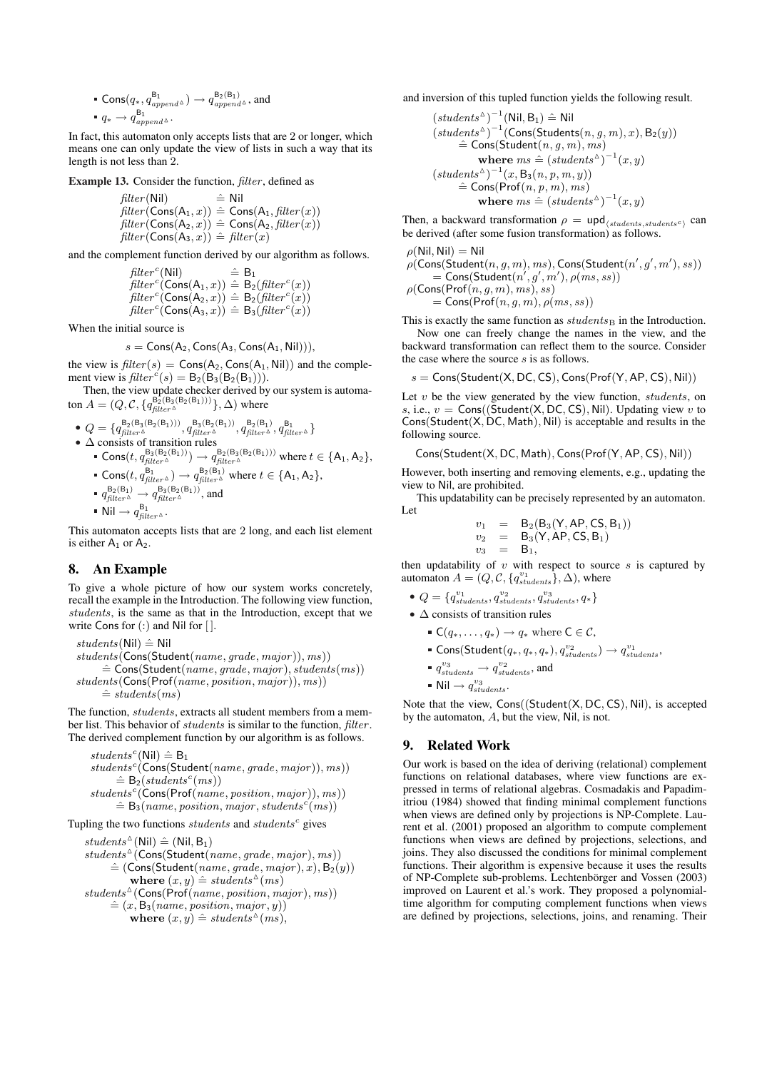• 
$$
\text{Cons}(q_*, q_{append\Delta}^{B_1}) \rightarrow q_{append\Delta}^{B_2(B_1)}
$$
, and  
\n•  $q_* \rightarrow q_{append\Delta}^{B_1}$ .

In fact, this automaton only accepts lists that are 2 or longer, which means one can only update the view of lists in such a way that its length is not less than 2.

Example 13. Consider the function, *filter*, defined as

$$
\begin{array}{ll} \mathit{filter}(\mathsf{Nil}) & \hat{=} \; \mathsf{Nil} \\ \mathit{filter}(\mathsf{Cons}(\mathsf{A}_1,x)) & \hat{=} \; \mathsf{Cons}(\mathsf{A}_1,\mathit{filter}(x)) \\ \mathit{filter}(\mathsf{Cons}(\mathsf{A}_2,x)) & \hat{=} \; \mathsf{Cons}(\mathsf{A}_2,\mathit{filter}(x)) \\ \mathit{filter}(\mathsf{Cons}(\mathsf{A}_3,x)) & \hat{=} \; \mathit{filter}(x) \end{array}
$$

and the complement function derived by our algorithm as follows.

$$
\begin{array}{ll} \mathit{filter}^c(\mathsf{Nil}) & \hat{=} \ \mathsf{B}_1 \\ \mathit{filter}^c(\mathsf{Cons}(\mathsf{A}_1,x)) & \hat{=} \ \mathsf{B}_2(\mathit{filter}^c(x)) \\ \mathit{filter}^c(\mathsf{Cons}(\mathsf{A}_2,x)) & \hat{=} \ \mathsf{B}_2(\mathit{filter}^c(x)) \\ \mathit{filter}^c(\mathsf{Cons}(\mathsf{A}_3,x)) & \hat{=} \ \mathsf{B}_3(\mathit{filter}^c(x)) \end{array}
$$

When the initial source is

$$
s = Cons(A_2, Cons(A_3, Cons(A_1, Nil))),
$$

the view is  $filter(s) = Cons(A_2, Cons(A_1, Nil))$  and the complement view is  $filter^c(s) = B_2(B_3(B_2(B_1))).$ 

Then, the view update checker derived by our system is automaton  $A = (Q, C, \{q_{filter}^{B_2(B_3(B_2(B_1)))}\}, \Delta)$  where

$$
\bullet \ \ Q = \{q_{filter^\Delta}^{\mathsf{B}_2(\mathsf{B}_3(\mathsf{B}_2(\mathsf{B}_1)))}, q_{filter^\Delta}^{\mathsf{B}_3(\mathsf{B}_2(\mathsf{B}_1))}, q_{filter^\Delta}^{\mathsf{B}_2(\mathsf{B}_1)}, q_{filter^\Delta}^{\mathsf{B}_1}\}
$$

\n- \n
$$
\Delta
$$
 consists of transition rules\n
	\n- \n $\text{Cons}(t, q_{filter}^{B_3(B_2(B_1))}) \rightarrow q_{filter}^{B_2(B_3(B_2(B_1)))}$  where  $t \in \{A_1, A_2\}$ ,\n
	\n\n
\n- \n $\text{Cons}(t, q_{filter}^{B_1} \rightarrow \neg f_{filter}^{B_2(B_1)})$  where  $t \in \{A_1, A_2\}$ ,\n
\n- \n $q_{filter}^{B_2(B_1)} \rightarrow q_{filter}^{B_3(B_2(B_1))}$ , and\n
\n- \n $\text{Nil} \rightarrow q_{filter}^{B_1} \rightarrow \neg f_{filter}^{B_1}$ \n
\n

This automaton accepts lists that are 2 long, and each list element is either  $A_1$  or  $A_2$ .

## 8. An Example

To give a whole picture of how our system works concretely, recall the example in the Introduction. The following view function, *students*, is the same as that in the Introduction, except that we write Cons for  $(:)$  and Nil for  $| \cdot |$ .

 $students(Nil) \hat{=} Nil$ *students*(Cons(Student(*name, grade, major*))*, ms*))  $\hat{=}$  Cons(Student(*name, grade, major*)*, students*(*ms*)) *students*(Cons(Prof(*name, position, major*))*, ms*))  $\hat{=}$  *students*(*ms*)

The function, *students*, extracts all student members from a member list. This behavior of *students* is similar to the function, *filter*. The derived complement function by our algorithm is as follows.

 $students<sup>c</sup>(Nil) \hat{=} B_1$ *students<sup>c</sup>* (Cons(Student(*name, grade, major*))*, ms*))  $\hat{=}$  B<sub>2</sub>(*students<sup>c</sup>*(*ms*)) *students<sup>c</sup>* (Cons(Prof(*name, position, major*))*, ms*))  $\hat{=}$  B<sub>3</sub>(*name, position, major, students<sup>c</sup>(ms))* Tupling the two functions *students* and *students<sup>c</sup>* gives

$$
\begin{array}{c} students^{\vartriangle}(\mathsf{Nil}) \mathrel{\hat=} (\mathsf{Nil},\mathsf{B}_1) \\ students^{\vartriangle}(\mathsf{Cons}(\mathsf{Student}(\mathit{name},\mathit{grade},\mathit{major}),\mathit{ms})) \\ \mathrel{\hat=} (\mathsf{Cons}(\mathsf{Student}(\mathit{name},\mathit{grade},\mathit{major}),x),\mathsf{B}_2(y)) \\ \mathsf{where}\ (x,y) \mathrel{\hat=} students^{\vartriangle}(\mathit{ms}) \\ students^{\vartriangle}(\mathsf{Cons}(\mathsf{Prof}(\mathit{name},\mathit{position},\mathit{major}),\mathit{ms})) \\ \mathrel{\hat=} (x,\mathsf{B}_3(\mathit{name},\mathit{position},\mathit{major},y)) \\ \mathsf{where}\ (x,y) \mathrel{\hat=} students^{\vartriangle}(\mathit{ms}), \end{array}
$$

and inversion of this tupled function yields the following result.

$$
\begin{array}{ll}(\mathit{students}^\vartriangle)^{-1}(\mathsf{Nil}, \mathsf{B}_1) \mathrel{\hat=}\ \mathsf{Nil} \\(\mathit{students}^\vartriangle)^{-1}(\mathsf{Cons}(\mathsf{Students}(n, g, m), x), \mathsf{B}_2(y)) \\ \mathrel{\hat=}\ \mathsf{Cons}(\mathsf{Student}(n, g, m), ms) \\ & \quad \mathsf{where}\ ms \mathrel{\hat=}\ (\mathit{students}^\vartriangle)^{-1}(x, y) \\(\mathit{students}^\vartriangle)^{-1}(x, \mathsf{B}_3(n, p, m, y)) \\ \mathrel{\hat=}\ \mathsf{Cons}(\mathsf{Prof}(n, p, m), ms) \\ & \quad \mathsf{where}\ ms \mathrel{\hat=}\ (\mathit{students}^\vartriangle)^{-1}(x, y) \end{array}
$$

Then, a backward transformation  $\rho = \text{upd}_{\langle students, students^c \rangle}$  can be derived (after some fusion transformation) as follows.

*ρ*(Nil*,* Nil) = Nil  $\rho(\mathsf{Cons}(\mathsf{Student}(n,g,m),ms),\mathsf{Cons}(\mathsf{Student}(n',g',m'),ss))$  $=$  Cons(Student( $n', g', m'$ ),  $\rho(ms, ss)$ ) *ρ*(Cons(Prof(*n, g, m*)*, ms*)*, ss*)  $=$  Cons(Prof( $n, g, m$ ),  $\rho(ms, ss)$ )

This is exactly the same function as *students*<sub>B</sub> in the Introduction. Now one can freely change the names in the view, and the backward transformation can reflect them to the source. Consider the case where the source *s* is as follows.

*s* = Cons(Student(X*,* DC*,* CS)*,* Cons(Prof(Y*,*AP*,* CS)*,* Nil))

Let *v* be the view generated by the view function, *students*, on *s*, i.e.,  $v = \text{Cons}((\text{Student}(X, \text{DC}, \text{CS}), \text{Nil})$ . Updating view *v* to Cons(Student(X*,* DC*,* Math)*,* Nil) is acceptable and results in the following source.

Cons(Student(X*,* DC*,* Math)*,* Cons(Prof(Y*,*AP*,* CS)*,* Nil))

However, both inserting and removing elements, e.g., updating the view to Nil, are prohibited.

This updatability can be precisely represented by an automaton. Let

$$
v_1 = B_2(B_3(Y, AP, CS, B_1))
$$
  
\n
$$
v_2 = B_3(Y, AP, CS, B_1)
$$
  
\n
$$
v_3 = B_1,
$$

then updatability of  $v$  with respect to source  $s$  is captured by automaton  $A = (Q, C, \{q_{students}^{v_1}\}, \Delta)$ , where

- $Q = \{q_{students}^{v_1}, q_{students}^{v_2}, q_{students}^{v_3}, q_*\}$
- *•* ∆ consists of transition rules
	- $\mathsf{C}(q_*, \ldots, q_*) \to q_*$  where  $\mathsf{C} \in \mathcal{C}$ ,
	- $\text{Cons}(\text{Student}(q_*, q_*, q_*), q_{students}^{v_2}) \rightarrow q_{students}^{v_1},$
	- $q_{students}^{v_3} \rightarrow q_{students}^{v_2}$ , and
	- $\text{Nil} \rightarrow q_{students}^{v_3}$ .

Note that the view, Cons((Student(X*,* DC*,* CS)*,* Nil), is accepted by the automaton, *A*, but the view, Nil, is not.

## 9. Related Work

Our work is based on the idea of deriving (relational) complement functions on relational databases, where view functions are expressed in terms of relational algebras. Cosmadakis and Papadimitriou (1984) showed that finding minimal complement functions when views are defined only by projections is NP-Complete. Laurent et al. (2001) proposed an algorithm to compute complement functions when views are defined by projections, selections, and joins. They also discussed the conditions for minimal complement functions. Their algorithm is expensive because it uses the results of NP-Complete sub-problems. Lechtenbörger and Vossen (2003) improved on Laurent et al.'s work. They proposed a polynomialtime algorithm for computing complement functions when views are defined by projections, selections, joins, and renaming. Their